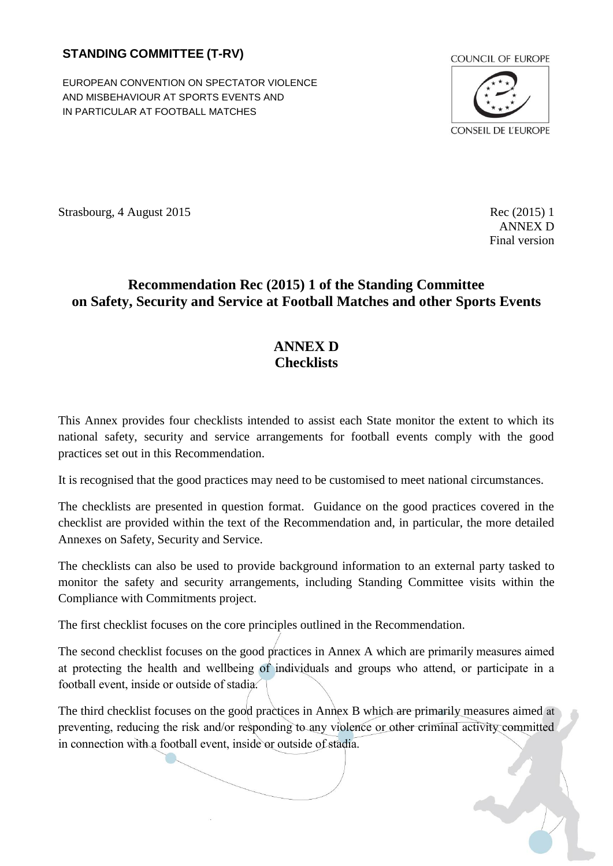## **STANDING COMMITTEE (T-RV)**

EUROPEAN CONVENTION ON SPECTATOR VIOLENCE AND MISBEHAVIOUR AT SPORTS EVENTS AND IN PARTICULAR AT FOOTBALL MATCHES



Strasbourg, 4 August 2015 Rec (2015) 1

ANNEX D Final version

## **Recommendation Rec (2015) 1 of the Standing Committee on Safety, Security and Service at Football Matches and other Sports Events**

## **ANNEX D Checklists**

This Annex provides four checklists intended to assist each State monitor the extent to which its national safety, security and service arrangements for football events comply with the good practices set out in this Recommendation.

It is recognised that the good practices may need to be customised to meet national circumstances.

The checklists are presented in question format. Guidance on the good practices covered in the checklist are provided within the text of the Recommendation and, in particular, the more detailed Annexes on Safety, Security and Service.

The checklists can also be used to provide background information to an external party tasked to monitor the safety and security arrangements, including Standing Committee visits within the Compliance with Commitments project.

The first checklist focuses on the core principles outlined in the Recommendation.

The second checklist focuses on the good practices in Annex A which are primarily measures aimed at protecting the health and wellbeing of individuals and groups who attend, or participate in a football event, inside or outside of stadia.

The third checklist focuses on the good practices in Annex B which are primarily measures aimed at preventing, reducing the risk and/or responding to any violence or other criminal activity committed in connection with a football event, inside or outside of stadia.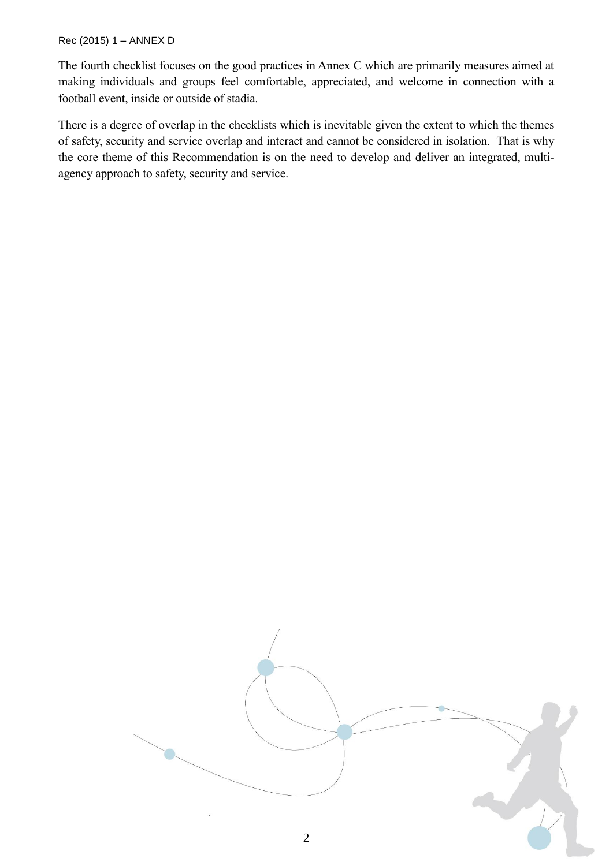## Rec (2015) 1 – ANNEX D

The fourth checklist focuses on the good practices in Annex C which are primarily measures aimed at making individuals and groups feel comfortable, appreciated, and welcome in connection with a football event, inside or outside of stadia.

There is a degree of overlap in the checklists which is inevitable given the extent to which the themes of safety, security and service overlap and interact and cannot be considered in isolation. That is why the core theme of this Recommendation is on the need to develop and deliver an integrated, multiagency approach to safety, security and service.

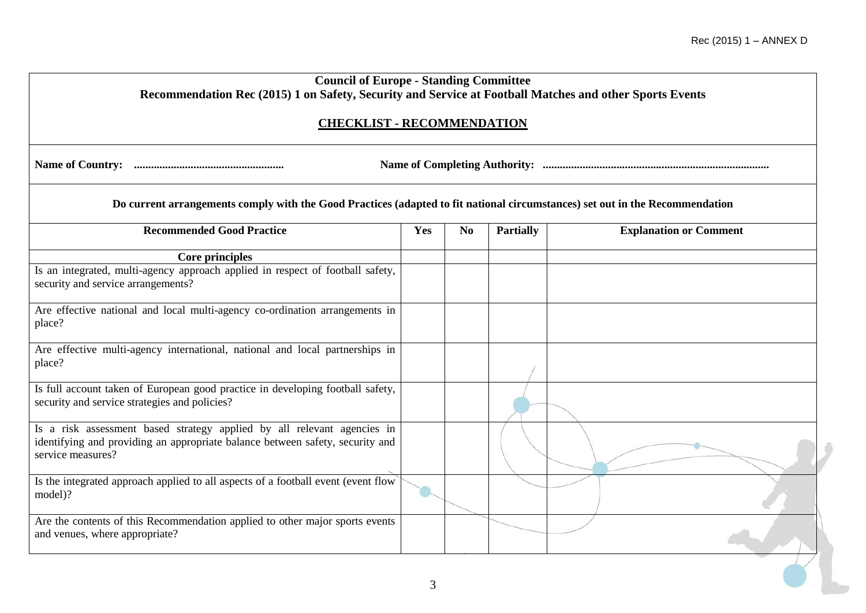| <b>Council of Europe - Standing Committee</b><br>Recommendation Rec (2015) 1 on Safety, Security and Service at Football Matches and other Sports Events                      |     |                |                  |                               |
|-------------------------------------------------------------------------------------------------------------------------------------------------------------------------------|-----|----------------|------------------|-------------------------------|
| <b>CHECKLIST - RECOMMENDATION</b>                                                                                                                                             |     |                |                  |                               |
|                                                                                                                                                                               |     |                |                  |                               |
| Do current arrangements comply with the Good Practices (adapted to fit national circumstances) set out in the Recommendation                                                  |     |                |                  |                               |
| <b>Recommended Good Practice</b>                                                                                                                                              | Yes | N <sub>0</sub> | <b>Partially</b> | <b>Explanation or Comment</b> |
| Core principles                                                                                                                                                               |     |                |                  |                               |
| Is an integrated, multi-agency approach applied in respect of football safety,<br>security and service arrangements?                                                          |     |                |                  |                               |
| Are effective national and local multi-agency co-ordination arrangements in<br>place?                                                                                         |     |                |                  |                               |
| Are effective multi-agency international, national and local partnerships in<br>place?                                                                                        |     |                |                  |                               |
| Is full account taken of European good practice in developing football safety,<br>security and service strategies and policies?                                               |     |                |                  |                               |
| Is a risk assessment based strategy applied by all relevant agencies in<br>identifying and providing an appropriate balance between safety, security and<br>service measures? |     |                |                  |                               |
| Is the integrated approach applied to all aspects of a football event (event flow<br>model)?                                                                                  |     |                |                  |                               |
| Are the contents of this Recommendation applied to other major sports events<br>and venues, where appropriate?                                                                |     |                |                  |                               |
|                                                                                                                                                                               |     |                |                  |                               |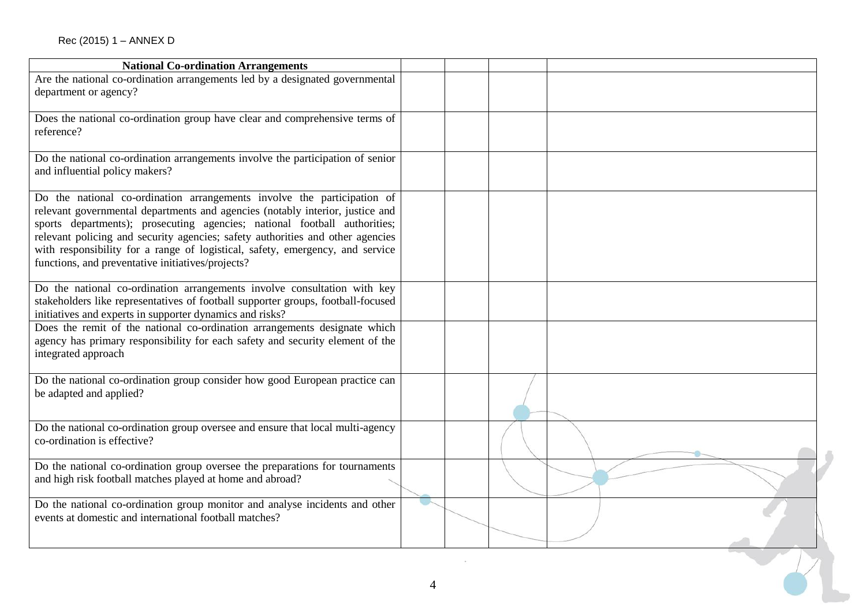| <b>National Co-ordination Arrangements</b>                                                                                                                                                                                                                                                                                                                                                                                                                    |   |  |  |
|---------------------------------------------------------------------------------------------------------------------------------------------------------------------------------------------------------------------------------------------------------------------------------------------------------------------------------------------------------------------------------------------------------------------------------------------------------------|---|--|--|
| Are the national co-ordination arrangements led by a designated governmental<br>department or agency?                                                                                                                                                                                                                                                                                                                                                         |   |  |  |
| Does the national co-ordination group have clear and comprehensive terms of<br>reference?                                                                                                                                                                                                                                                                                                                                                                     |   |  |  |
| Do the national co-ordination arrangements involve the participation of senior<br>and influential policy makers?                                                                                                                                                                                                                                                                                                                                              |   |  |  |
| Do the national co-ordination arrangements involve the participation of<br>relevant governmental departments and agencies (notably interior, justice and<br>sports departments); prosecuting agencies; national football authorities;<br>relevant policing and security agencies; safety authorities and other agencies<br>with responsibility for a range of logistical, safety, emergency, and service<br>functions, and preventative initiatives/projects? |   |  |  |
| Do the national co-ordination arrangements involve consultation with key<br>stakeholders like representatives of football supporter groups, football-focused<br>initiatives and experts in supporter dynamics and risks?                                                                                                                                                                                                                                      |   |  |  |
| Does the remit of the national co-ordination arrangements designate which<br>agency has primary responsibility for each safety and security element of the<br>integrated approach                                                                                                                                                                                                                                                                             |   |  |  |
| Do the national co-ordination group consider how good European practice can<br>be adapted and applied?                                                                                                                                                                                                                                                                                                                                                        |   |  |  |
| Do the national co-ordination group oversee and ensure that local multi-agency<br>co-ordination is effective?                                                                                                                                                                                                                                                                                                                                                 |   |  |  |
| Do the national co-ordination group oversee the preparations for tournaments<br>and high risk football matches played at home and abroad?                                                                                                                                                                                                                                                                                                                     |   |  |  |
| Do the national co-ordination group monitor and analyse incidents and other<br>events at domestic and international football matches?                                                                                                                                                                                                                                                                                                                         |   |  |  |
|                                                                                                                                                                                                                                                                                                                                                                                                                                                               | 4 |  |  |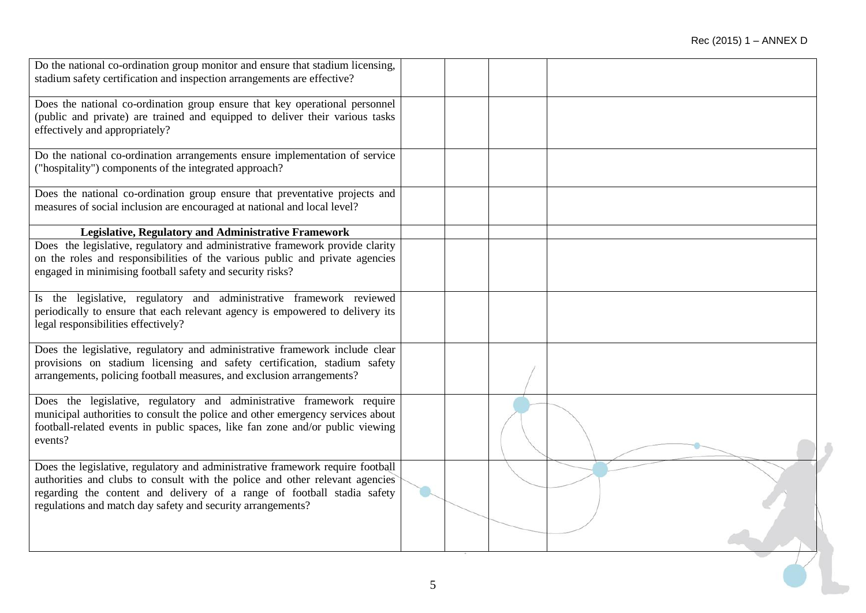| Do the national co-ordination group monitor and ensure that stadium licensing,                                                         |  |  |
|----------------------------------------------------------------------------------------------------------------------------------------|--|--|
| stadium safety certification and inspection arrangements are effective?                                                                |  |  |
| Does the national co-ordination group ensure that key operational personnel                                                            |  |  |
| (public and private) are trained and equipped to deliver their various tasks                                                           |  |  |
| effectively and appropriately?                                                                                                         |  |  |
| Do the national co-ordination arrangements ensure implementation of service                                                            |  |  |
| ("hospitality") components of the integrated approach?                                                                                 |  |  |
| Does the national co-ordination group ensure that preventative projects and                                                            |  |  |
| measures of social inclusion are encouraged at national and local level?                                                               |  |  |
| Legislative, Regulatory and Administrative Framework                                                                                   |  |  |
| Does the legislative, regulatory and administrative framework provide clarity                                                          |  |  |
| on the roles and responsibilities of the various public and private agencies                                                           |  |  |
| engaged in minimising football safety and security risks?                                                                              |  |  |
| Is the legislative, regulatory and administrative framework reviewed                                                                   |  |  |
| periodically to ensure that each relevant agency is empowered to delivery its                                                          |  |  |
| legal responsibilities effectively?                                                                                                    |  |  |
| Does the legislative, regulatory and administrative framework include clear                                                            |  |  |
| provisions on stadium licensing and safety certification, stadium safety                                                               |  |  |
| arrangements, policing football measures, and exclusion arrangements?                                                                  |  |  |
| Does the legislative, regulatory and administrative framework require                                                                  |  |  |
| municipal authorities to consult the police and other emergency services about                                                         |  |  |
| football-related events in public spaces, like fan zone and/or public viewing<br>events?                                               |  |  |
|                                                                                                                                        |  |  |
| Does the legislative, regulatory and administrative framework require football                                                         |  |  |
| authorities and clubs to consult with the police and other relevant agencies                                                           |  |  |
| regarding the content and delivery of a range of football stadia safety<br>regulations and match day safety and security arrangements? |  |  |
|                                                                                                                                        |  |  |
|                                                                                                                                        |  |  |
|                                                                                                                                        |  |  |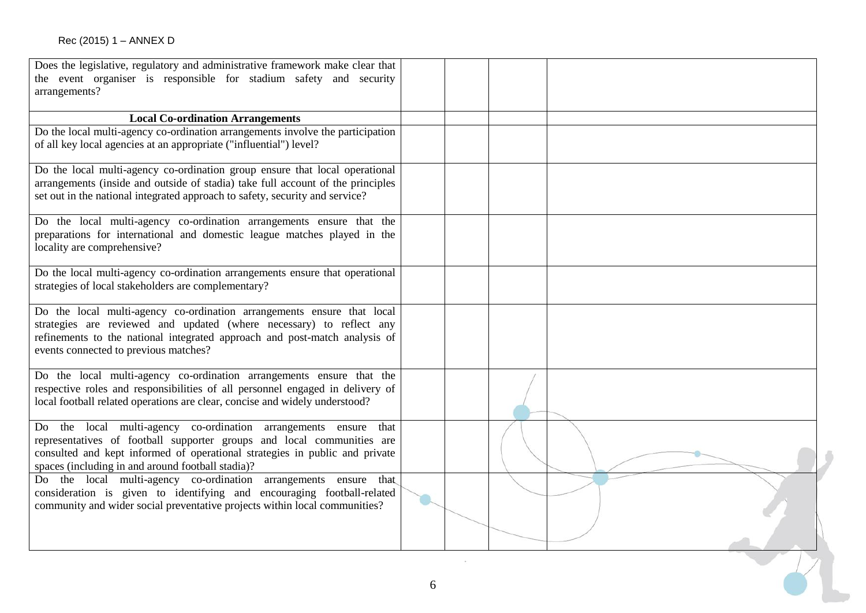| Does the legislative, regulatory and administrative framework make clear that   |   |  |  |
|---------------------------------------------------------------------------------|---|--|--|
| the event organiser is responsible for stadium safety and security              |   |  |  |
| arrangements?                                                                   |   |  |  |
|                                                                                 |   |  |  |
| <b>Local Co-ordination Arrangements</b>                                         |   |  |  |
| Do the local multi-agency co-ordination arrangements involve the participation  |   |  |  |
| of all key local agencies at an appropriate ("influential") level?              |   |  |  |
|                                                                                 |   |  |  |
| Do the local multi-agency co-ordination group ensure that local operational     |   |  |  |
| arrangements (inside and outside of stadia) take full account of the principles |   |  |  |
| set out in the national integrated approach to safety, security and service?    |   |  |  |
|                                                                                 |   |  |  |
| Do the local multi-agency co-ordination arrangements ensure that the            |   |  |  |
| preparations for international and domestic league matches played in the        |   |  |  |
| locality are comprehensive?                                                     |   |  |  |
| Do the local multi-agency co-ordination arrangements ensure that operational    |   |  |  |
| strategies of local stakeholders are complementary?                             |   |  |  |
|                                                                                 |   |  |  |
| Do the local multi-agency co-ordination arrangements ensure that local          |   |  |  |
| strategies are reviewed and updated (where necessary) to reflect any            |   |  |  |
| refinements to the national integrated approach and post-match analysis of      |   |  |  |
| events connected to previous matches?                                           |   |  |  |
|                                                                                 |   |  |  |
| Do the local multi-agency co-ordination arrangements ensure that the            |   |  |  |
| respective roles and responsibilities of all personnel engaged in delivery of   |   |  |  |
| local football related operations are clear, concise and widely understood?     |   |  |  |
| the local multi-agency co-ordination arrangements ensure that<br>Do             |   |  |  |
| representatives of football supporter groups and local communities are          |   |  |  |
| consulted and kept informed of operational strategies in public and private     |   |  |  |
| spaces (including in and around football stadia)?                               |   |  |  |
| Do the local multi-agency co-ordination arrangements ensure that                |   |  |  |
| consideration is given to identifying and encouraging football-related          |   |  |  |
| community and wider social preventative projects within local communities?      |   |  |  |
|                                                                                 |   |  |  |
|                                                                                 |   |  |  |
|                                                                                 |   |  |  |
|                                                                                 |   |  |  |
|                                                                                 |   |  |  |
|                                                                                 | 6 |  |  |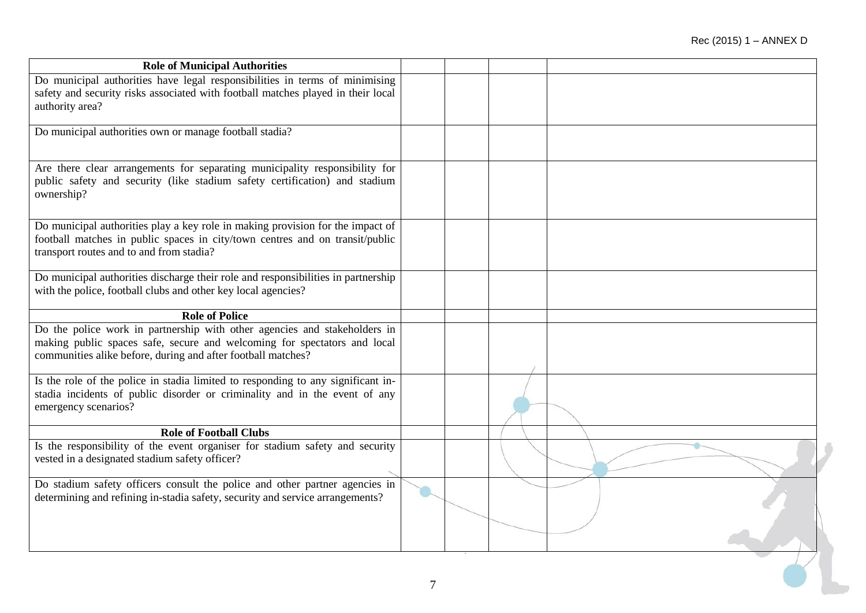| <b>Role of Municipal Authorities</b>                                                                                                                                                                                  |  |  |
|-----------------------------------------------------------------------------------------------------------------------------------------------------------------------------------------------------------------------|--|--|
| Do municipal authorities have legal responsibilities in terms of minimising<br>safety and security risks associated with football matches played in their local<br>authority area?                                    |  |  |
| Do municipal authorities own or manage football stadia?                                                                                                                                                               |  |  |
| Are there clear arrangements for separating municipality responsibility for<br>public safety and security (like stadium safety certification) and stadium<br>ownership?                                               |  |  |
| Do municipal authorities play a key role in making provision for the impact of<br>football matches in public spaces in city/town centres and on transit/public<br>transport routes and to and from stadia?            |  |  |
| Do municipal authorities discharge their role and responsibilities in partnership<br>with the police, football clubs and other key local agencies?                                                                    |  |  |
| <b>Role of Police</b>                                                                                                                                                                                                 |  |  |
| Do the police work in partnership with other agencies and stakeholders in<br>making public spaces safe, secure and welcoming for spectators and local<br>communities alike before, during and after football matches? |  |  |
| Is the role of the police in stadia limited to responding to any significant in-<br>stadia incidents of public disorder or criminality and in the event of any<br>emergency scenarios?                                |  |  |
| <b>Role of Football Clubs</b>                                                                                                                                                                                         |  |  |
| Is the responsibility of the event organiser for stadium safety and security<br>vested in a designated stadium safety officer?                                                                                        |  |  |
| Do stadium safety officers consult the police and other partner agencies in<br>determining and refining in-stadia safety, security and service arrangements?                                                          |  |  |
|                                                                                                                                                                                                                       |  |  |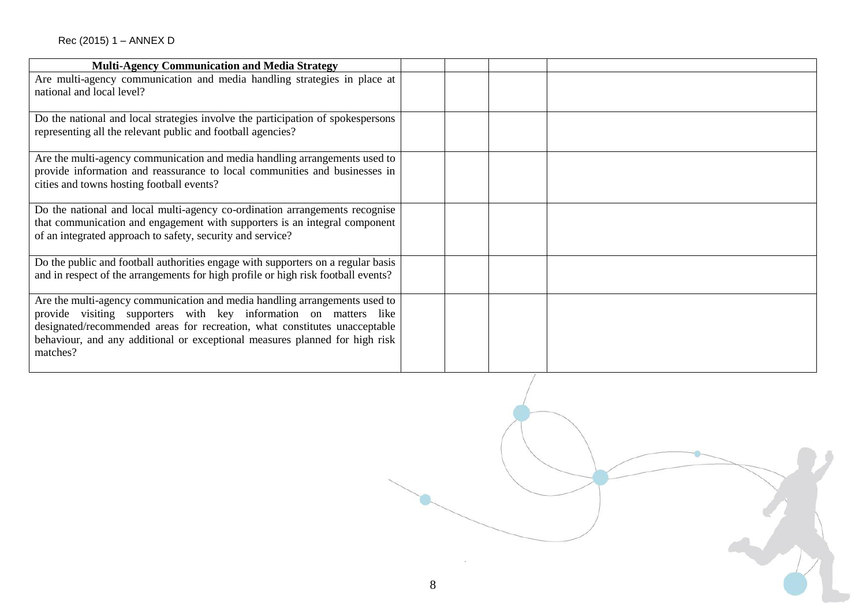| <b>Multi-Agency Communication and Media Strategy</b>                                                                                                                                                                                                                                                                    |  |
|-------------------------------------------------------------------------------------------------------------------------------------------------------------------------------------------------------------------------------------------------------------------------------------------------------------------------|--|
| Are multi-agency communication and media handling strategies in place at<br>national and local level?                                                                                                                                                                                                                   |  |
| Do the national and local strategies involve the participation of spokespersons<br>representing all the relevant public and football agencies?                                                                                                                                                                          |  |
| Are the multi-agency communication and media handling arrangements used to<br>provide information and reassurance to local communities and businesses in<br>cities and towns hosting football events?                                                                                                                   |  |
| Do the national and local multi-agency co-ordination arrangements recognise<br>that communication and engagement with supporters is an integral component<br>of an integrated approach to safety, security and service?                                                                                                 |  |
| Do the public and football authorities engage with supporters on a regular basis<br>and in respect of the arrangements for high profile or high risk football events?                                                                                                                                                   |  |
| Are the multi-agency communication and media handling arrangements used to<br>provide visiting supporters with key information on matters like<br>designated/recommended areas for recreation, what constitutes unacceptable<br>behaviour, and any additional or exceptional measures planned for high risk<br>matches? |  |

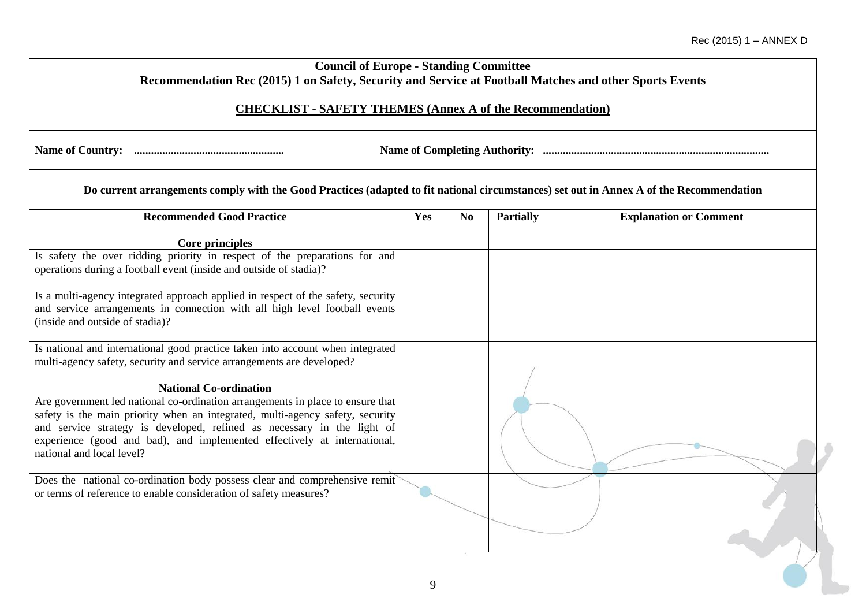| <b>Council of Europe - Standing Committee</b><br>Recommendation Rec (2015) 1 on Safety, Security and Service at Football Matches and other Sports Events                                                                                                                                                                                            |     |                |                  |                               |
|-----------------------------------------------------------------------------------------------------------------------------------------------------------------------------------------------------------------------------------------------------------------------------------------------------------------------------------------------------|-----|----------------|------------------|-------------------------------|
| <b>CHECKLIST - SAFETY THEMES (Annex A of the Recommendation)</b>                                                                                                                                                                                                                                                                                    |     |                |                  |                               |
|                                                                                                                                                                                                                                                                                                                                                     |     |                |                  |                               |
| Do current arrangements comply with the Good Practices (adapted to fit national circumstances) set out in Annex A of the Recommendation                                                                                                                                                                                                             |     |                |                  |                               |
| <b>Recommended Good Practice</b>                                                                                                                                                                                                                                                                                                                    | Yes | N <sub>0</sub> | <b>Partially</b> | <b>Explanation or Comment</b> |
| <b>Core principles</b>                                                                                                                                                                                                                                                                                                                              |     |                |                  |                               |
| Is safety the over ridding priority in respect of the preparations for and<br>operations during a football event (inside and outside of stadia)?                                                                                                                                                                                                    |     |                |                  |                               |
| Is a multi-agency integrated approach applied in respect of the safety, security<br>and service arrangements in connection with all high level football events<br>(inside and outside of stadia)?                                                                                                                                                   |     |                |                  |                               |
| Is national and international good practice taken into account when integrated<br>multi-agency safety, security and service arrangements are developed?                                                                                                                                                                                             |     |                |                  |                               |
| <b>National Co-ordination</b>                                                                                                                                                                                                                                                                                                                       |     |                |                  |                               |
| Are government led national co-ordination arrangements in place to ensure that<br>safety is the main priority when an integrated, multi-agency safety, security<br>and service strategy is developed, refined as necessary in the light of<br>experience (good and bad), and implemented effectively at international,<br>national and local level? |     |                |                  |                               |
| Does the national co-ordination body possess clear and comprehensive remit<br>or terms of reference to enable consideration of safety measures?                                                                                                                                                                                                     |     |                |                  |                               |
|                                                                                                                                                                                                                                                                                                                                                     | 9   |                |                  |                               |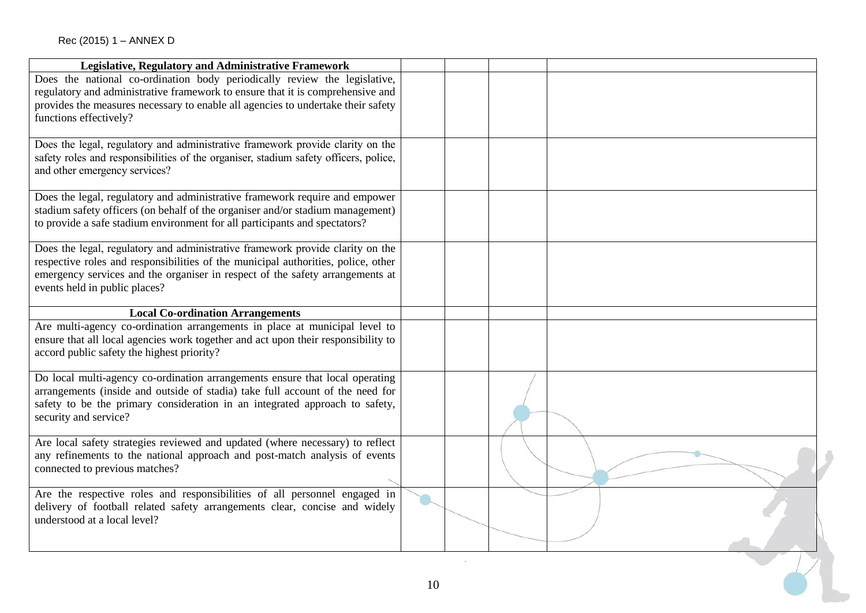| Legislative, Regulatory and Administrative Framework                                                                                                                                                                                                                                  |    |  |
|---------------------------------------------------------------------------------------------------------------------------------------------------------------------------------------------------------------------------------------------------------------------------------------|----|--|
| Does the national co-ordination body periodically review the legislative,<br>regulatory and administrative framework to ensure that it is comprehensive and<br>provides the measures necessary to enable all agencies to undertake their safety<br>functions effectively?             |    |  |
| Does the legal, regulatory and administrative framework provide clarity on the<br>safety roles and responsibilities of the organiser, stadium safety officers, police,<br>and other emergency services?                                                                               |    |  |
| Does the legal, regulatory and administrative framework require and empower<br>stadium safety officers (on behalf of the organiser and/or stadium management)<br>to provide a safe stadium environment for all participants and spectators?                                           |    |  |
| Does the legal, regulatory and administrative framework provide clarity on the<br>respective roles and responsibilities of the municipal authorities, police, other<br>emergency services and the organiser in respect of the safety arrangements at<br>events held in public places? |    |  |
| <b>Local Co-ordination Arrangements</b>                                                                                                                                                                                                                                               |    |  |
| Are multi-agency co-ordination arrangements in place at municipal level to<br>ensure that all local agencies work together and act upon their responsibility to<br>accord public safety the highest priority?                                                                         |    |  |
| Do local multi-agency co-ordination arrangements ensure that local operating<br>arrangements (inside and outside of stadia) take full account of the need for<br>safety to be the primary consideration in an integrated approach to safety,<br>security and service?                 |    |  |
| Are local safety strategies reviewed and updated (where necessary) to reflect<br>any refinements to the national approach and post-match analysis of events<br>connected to previous matches?                                                                                         |    |  |
| Are the respective roles and responsibilities of all personnel engaged in<br>delivery of football related safety arrangements clear, concise and widely<br>understood at a local level?                                                                                               |    |  |
|                                                                                                                                                                                                                                                                                       |    |  |
|                                                                                                                                                                                                                                                                                       | 10 |  |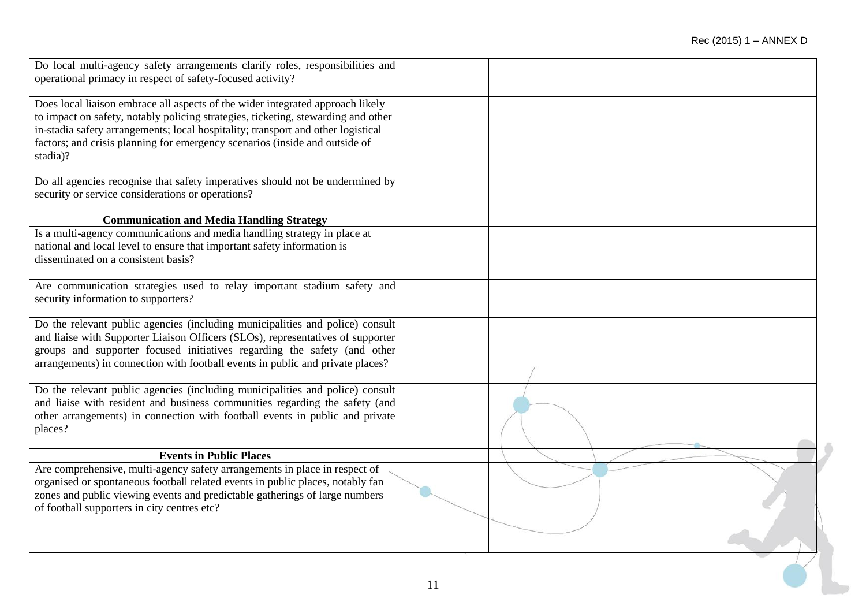| Do local multi-agency safety arrangements clarify roles, responsibilities and<br>operational primacy in respect of safety-focused activity?                                                                                                                                                                                                        |    |  |  |
|----------------------------------------------------------------------------------------------------------------------------------------------------------------------------------------------------------------------------------------------------------------------------------------------------------------------------------------------------|----|--|--|
|                                                                                                                                                                                                                                                                                                                                                    |    |  |  |
| Does local liaison embrace all aspects of the wider integrated approach likely<br>to impact on safety, notably policing strategies, ticketing, stewarding and other<br>in-stadia safety arrangements; local hospitality; transport and other logistical<br>factors; and crisis planning for emergency scenarios (inside and outside of<br>stadia)? |    |  |  |
| Do all agencies recognise that safety imperatives should not be undermined by<br>security or service considerations or operations?                                                                                                                                                                                                                 |    |  |  |
| <b>Communication and Media Handling Strategy</b>                                                                                                                                                                                                                                                                                                   |    |  |  |
| Is a multi-agency communications and media handling strategy in place at<br>national and local level to ensure that important safety information is<br>disseminated on a consistent basis?                                                                                                                                                         |    |  |  |
| Are communication strategies used to relay important stadium safety and<br>security information to supporters?                                                                                                                                                                                                                                     |    |  |  |
| Do the relevant public agencies (including municipalities and police) consult<br>and liaise with Supporter Liaison Officers (SLOs), representatives of supporter<br>groups and supporter focused initiatives regarding the safety (and other<br>arrangements) in connection with football events in public and private places?                     |    |  |  |
| Do the relevant public agencies (including municipalities and police) consult<br>and liaise with resident and business communities regarding the safety (and<br>other arrangements) in connection with football events in public and private<br>places?                                                                                            |    |  |  |
| <b>Events in Public Places</b>                                                                                                                                                                                                                                                                                                                     |    |  |  |
| Are comprehensive, multi-agency safety arrangements in place in respect of<br>organised or spontaneous football related events in public places, notably fan<br>zones and public viewing events and predictable gatherings of large numbers<br>of football supporters in city centres etc?                                                         |    |  |  |
|                                                                                                                                                                                                                                                                                                                                                    | 11 |  |  |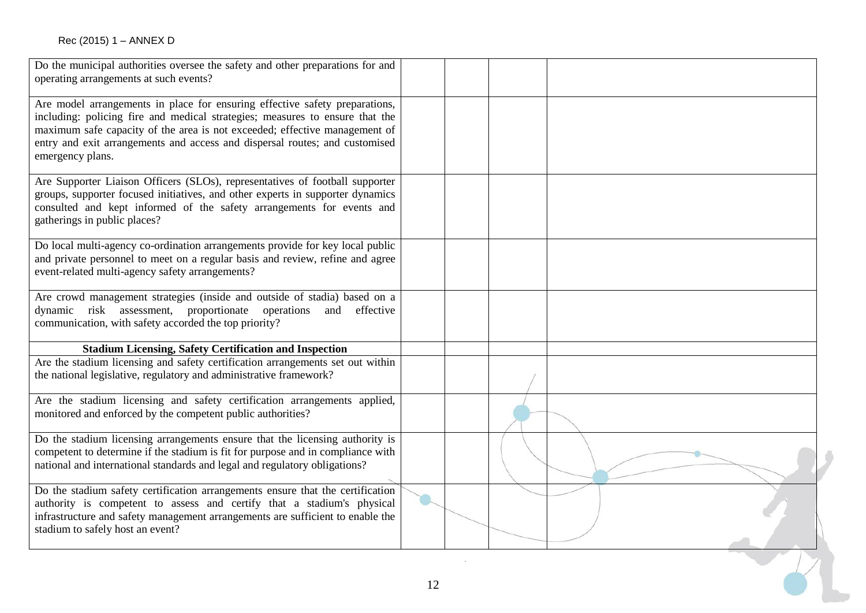| Do the municipal authorities oversee the safety and other preparations for and<br>operating arrangements at such events?                                                                                                                                                                                                                     |    |  |  |
|----------------------------------------------------------------------------------------------------------------------------------------------------------------------------------------------------------------------------------------------------------------------------------------------------------------------------------------------|----|--|--|
| Are model arrangements in place for ensuring effective safety preparations,<br>including: policing fire and medical strategies; measures to ensure that the<br>maximum safe capacity of the area is not exceeded; effective management of<br>entry and exit arrangements and access and dispersal routes; and customised<br>emergency plans. |    |  |  |
| Are Supporter Liaison Officers (SLOs), representatives of football supporter<br>groups, supporter focused initiatives, and other experts in supporter dynamics<br>consulted and kept informed of the safety arrangements for events and<br>gatherings in public places?                                                                      |    |  |  |
| Do local multi-agency co-ordination arrangements provide for key local public<br>and private personnel to meet on a regular basis and review, refine and agree<br>event-related multi-agency safety arrangements?                                                                                                                            |    |  |  |
| Are crowd management strategies (inside and outside of stadia) based on a<br>dynamic risk assessment, proportionate operations and effective<br>communication, with safety accorded the top priority?                                                                                                                                        |    |  |  |
| <b>Stadium Licensing, Safety Certification and Inspection</b>                                                                                                                                                                                                                                                                                |    |  |  |
| Are the stadium licensing and safety certification arrangements set out within<br>the national legislative, regulatory and administrative framework?                                                                                                                                                                                         |    |  |  |
| Are the stadium licensing and safety certification arrangements applied,<br>monitored and enforced by the competent public authorities?                                                                                                                                                                                                      |    |  |  |
| Do the stadium licensing arrangements ensure that the licensing authority is<br>competent to determine if the stadium is fit for purpose and in compliance with<br>national and international standards and legal and regulatory obligations?                                                                                                |    |  |  |
| Do the stadium safety certification arrangements ensure that the certification<br>authority is competent to assess and certify that a stadium's physical<br>infrastructure and safety management arrangements are sufficient to enable the<br>stadium to safely host an event?                                                               |    |  |  |
|                                                                                                                                                                                                                                                                                                                                              |    |  |  |
|                                                                                                                                                                                                                                                                                                                                              | 12 |  |  |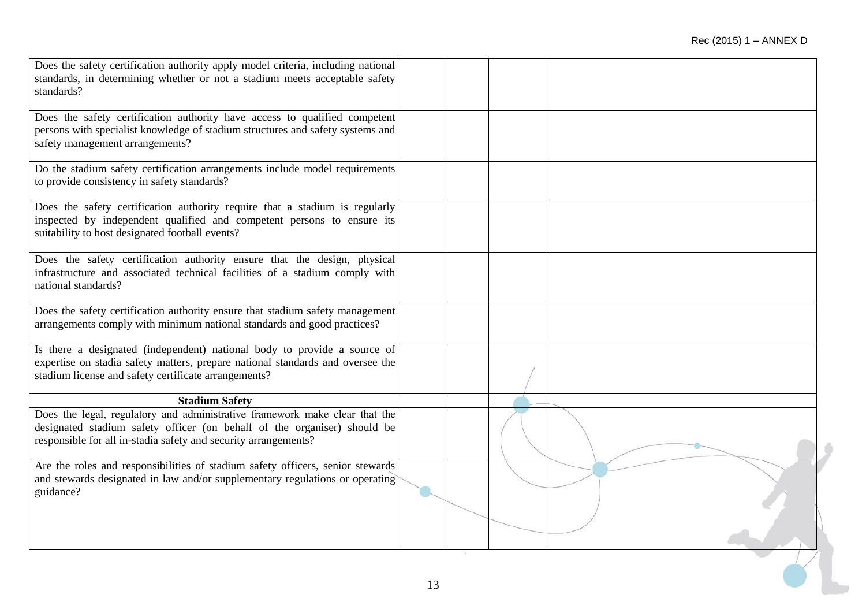| Are the roles and responsibilities of stadium safety officers, senior stewards<br>and stewards designated in law and/or supplementary regulations or operating<br>guidance?                                                |  |  |
|----------------------------------------------------------------------------------------------------------------------------------------------------------------------------------------------------------------------------|--|--|
| Does the legal, regulatory and administrative framework make clear that the<br>designated stadium safety officer (on behalf of the organiser) should be<br>responsible for all in-stadia safety and security arrangements? |  |  |
| <b>Stadium Safety</b>                                                                                                                                                                                                      |  |  |
| Is there a designated (independent) national body to provide a source of<br>expertise on stadia safety matters, prepare national standards and oversee the<br>stadium license and safety certificate arrangements?         |  |  |
| Does the safety certification authority ensure that stadium safety management<br>arrangements comply with minimum national standards and good practices?                                                                   |  |  |
| Does the safety certification authority ensure that the design, physical<br>infrastructure and associated technical facilities of a stadium comply with<br>national standards?                                             |  |  |
| Does the safety certification authority require that a stadium is regularly<br>inspected by independent qualified and competent persons to ensure its<br>suitability to host designated football events?                   |  |  |
| Do the stadium safety certification arrangements include model requirements<br>to provide consistency in safety standards?                                                                                                 |  |  |
| Does the safety certification authority have access to qualified competent<br>persons with specialist knowledge of stadium structures and safety systems and<br>safety management arrangements?                            |  |  |
| Does the safety certification authority apply model criteria, including national<br>standards, in determining whether or not a stadium meets acceptable safety<br>standards?                                               |  |  |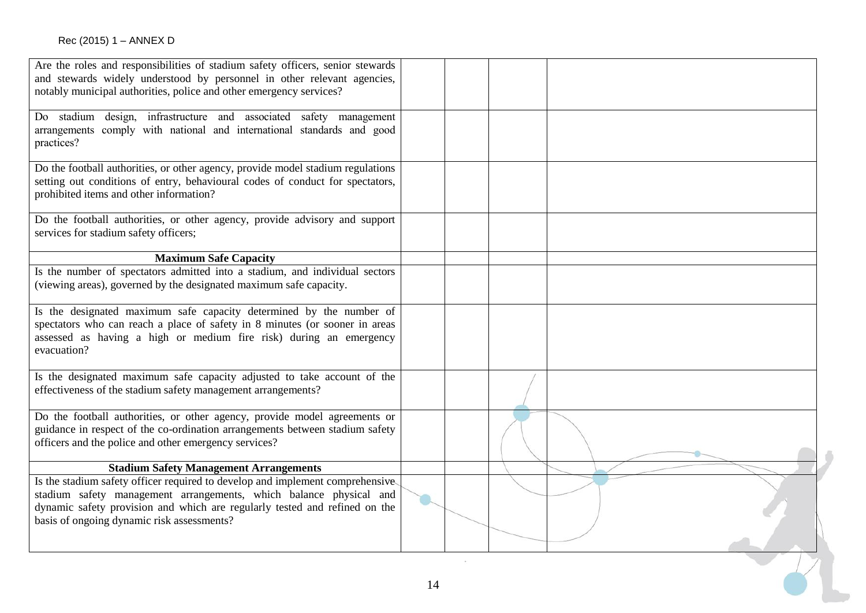| Are the roles and responsibilities of stadium safety officers, senior stewards<br>and stewards widely understood by personnel in other relevant agencies,<br>notably municipal authorities, police and other emergency services?                                                |    |  |  |
|---------------------------------------------------------------------------------------------------------------------------------------------------------------------------------------------------------------------------------------------------------------------------------|----|--|--|
| Do stadium design, infrastructure and associated safety management<br>arrangements comply with national and international standards and good<br>practices?                                                                                                                      |    |  |  |
| Do the football authorities, or other agency, provide model stadium regulations<br>setting out conditions of entry, behavioural codes of conduct for spectators,<br>prohibited items and other information?                                                                     |    |  |  |
| Do the football authorities, or other agency, provide advisory and support<br>services for stadium safety officers;                                                                                                                                                             |    |  |  |
| <b>Maximum Safe Capacity</b>                                                                                                                                                                                                                                                    |    |  |  |
| Is the number of spectators admitted into a stadium, and individual sectors<br>(viewing areas), governed by the designated maximum safe capacity.                                                                                                                               |    |  |  |
| Is the designated maximum safe capacity determined by the number of<br>spectators who can reach a place of safety in 8 minutes (or sooner in areas<br>assessed as having a high or medium fire risk) during an emergency<br>evacuation?                                         |    |  |  |
| Is the designated maximum safe capacity adjusted to take account of the<br>effectiveness of the stadium safety management arrangements?                                                                                                                                         |    |  |  |
| Do the football authorities, or other agency, provide model agreements or<br>guidance in respect of the co-ordination arrangements between stadium safety<br>officers and the police and other emergency services?                                                              |    |  |  |
| <b>Stadium Safety Management Arrangements</b>                                                                                                                                                                                                                                   |    |  |  |
| Is the stadium safety officer required to develop and implement comprehensive<br>stadium safety management arrangements, which balance physical and<br>dynamic safety provision and which are regularly tested and refined on the<br>basis of ongoing dynamic risk assessments? |    |  |  |
|                                                                                                                                                                                                                                                                                 | 14 |  |  |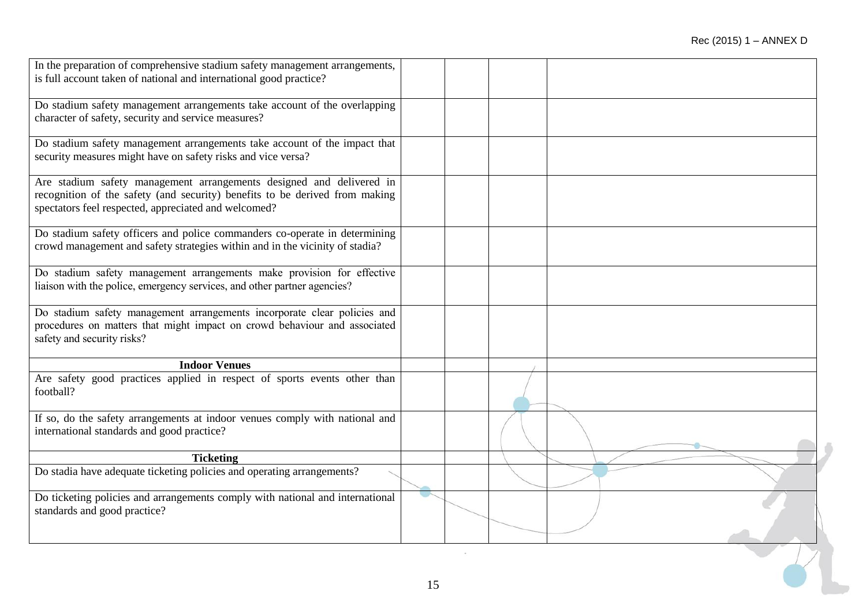| In the preparation of comprehensive stadium safety management arrangements,                                                                        |    |  |  |
|----------------------------------------------------------------------------------------------------------------------------------------------------|----|--|--|
| is full account taken of national and international good practice?                                                                                 |    |  |  |
|                                                                                                                                                    |    |  |  |
| Do stadium safety management arrangements take account of the overlapping<br>character of safety, security and service measures?                   |    |  |  |
|                                                                                                                                                    |    |  |  |
| Do stadium safety management arrangements take account of the impact that                                                                          |    |  |  |
| security measures might have on safety risks and vice versa?                                                                                       |    |  |  |
| Are stadium safety management arrangements designed and delivered in                                                                               |    |  |  |
| recognition of the safety (and security) benefits to be derived from making                                                                        |    |  |  |
| spectators feel respected, appreciated and welcomed?                                                                                               |    |  |  |
| Do stadium safety officers and police commanders co-operate in determining                                                                         |    |  |  |
| crowd management and safety strategies within and in the vicinity of stadia?                                                                       |    |  |  |
|                                                                                                                                                    |    |  |  |
| Do stadium safety management arrangements make provision for effective<br>liaison with the police, emergency services, and other partner agencies? |    |  |  |
|                                                                                                                                                    |    |  |  |
| Do stadium safety management arrangements incorporate clear policies and                                                                           |    |  |  |
| procedures on matters that might impact on crowd behaviour and associated                                                                          |    |  |  |
| safety and security risks?                                                                                                                         |    |  |  |
| <b>Indoor Venues</b>                                                                                                                               |    |  |  |
| Are safety good practices applied in respect of sports events other than                                                                           |    |  |  |
| football?                                                                                                                                          |    |  |  |
|                                                                                                                                                    |    |  |  |
| If so, do the safety arrangements at indoor venues comply with national and<br>international standards and good practice?                          |    |  |  |
|                                                                                                                                                    |    |  |  |
| <b>Ticketing</b>                                                                                                                                   |    |  |  |
| Do stadia have adequate ticketing policies and operating arrangements?                                                                             |    |  |  |
|                                                                                                                                                    |    |  |  |
| Do ticketing policies and arrangements comply with national and international<br>standards and good practice?                                      |    |  |  |
|                                                                                                                                                    |    |  |  |
|                                                                                                                                                    |    |  |  |
|                                                                                                                                                    |    |  |  |
|                                                                                                                                                    |    |  |  |
|                                                                                                                                                    | 15 |  |  |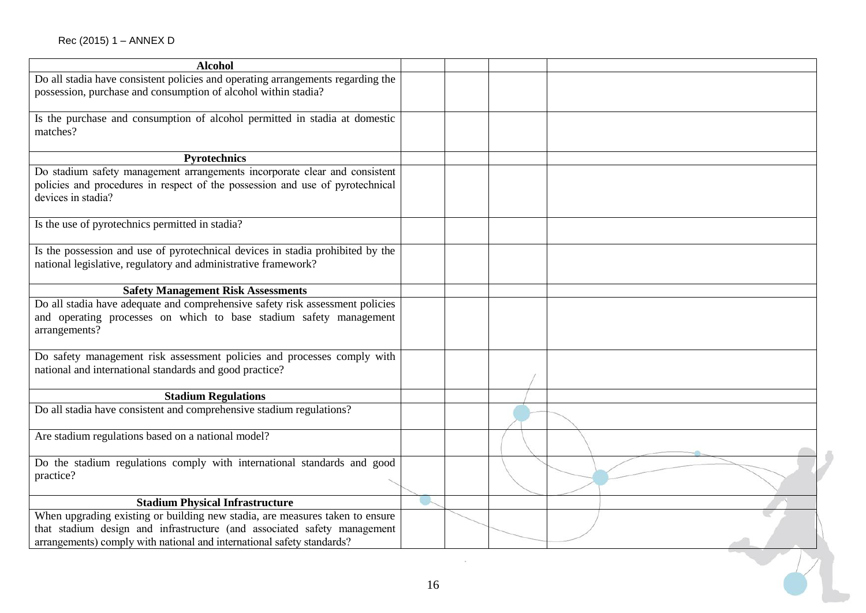| <b>Alcohol</b>                                                                  |    |  |  |
|---------------------------------------------------------------------------------|----|--|--|
| Do all stadia have consistent policies and operating arrangements regarding the |    |  |  |
| possession, purchase and consumption of alcohol within stadia?                  |    |  |  |
|                                                                                 |    |  |  |
| Is the purchase and consumption of alcohol permitted in stadia at domestic      |    |  |  |
| matches?                                                                        |    |  |  |
|                                                                                 |    |  |  |
| Pyrotechnics                                                                    |    |  |  |
| Do stadium safety management arrangements incorporate clear and consistent      |    |  |  |
| policies and procedures in respect of the possession and use of pyrotechnical   |    |  |  |
| devices in stadia?                                                              |    |  |  |
|                                                                                 |    |  |  |
| Is the use of pyrotechnics permitted in stadia?                                 |    |  |  |
|                                                                                 |    |  |  |
| Is the possession and use of pyrotechnical devices in stadia prohibited by the  |    |  |  |
| national legislative, regulatory and administrative framework?                  |    |  |  |
|                                                                                 |    |  |  |
| <b>Safety Management Risk Assessments</b>                                       |    |  |  |
| Do all stadia have adequate and comprehensive safety risk assessment policies   |    |  |  |
| and operating processes on which to base stadium safety management              |    |  |  |
| arrangements?                                                                   |    |  |  |
|                                                                                 |    |  |  |
| Do safety management risk assessment policies and processes comply with         |    |  |  |
| national and international standards and good practice?                         |    |  |  |
|                                                                                 |    |  |  |
| <b>Stadium Regulations</b>                                                      |    |  |  |
| Do all stadia have consistent and comprehensive stadium regulations?            |    |  |  |
|                                                                                 |    |  |  |
| Are stadium regulations based on a national model?                              |    |  |  |
|                                                                                 |    |  |  |
| Do the stadium regulations comply with international standards and good         |    |  |  |
| practice?                                                                       |    |  |  |
|                                                                                 |    |  |  |
| <b>Stadium Physical Infrastructure</b>                                          |    |  |  |
| When upgrading existing or building new stadia, are measures taken to ensure    |    |  |  |
| that stadium design and infrastructure (and associated safety management        |    |  |  |
| arrangements) comply with national and international safety standards?          |    |  |  |
|                                                                                 |    |  |  |
|                                                                                 |    |  |  |
|                                                                                 |    |  |  |
|                                                                                 | 16 |  |  |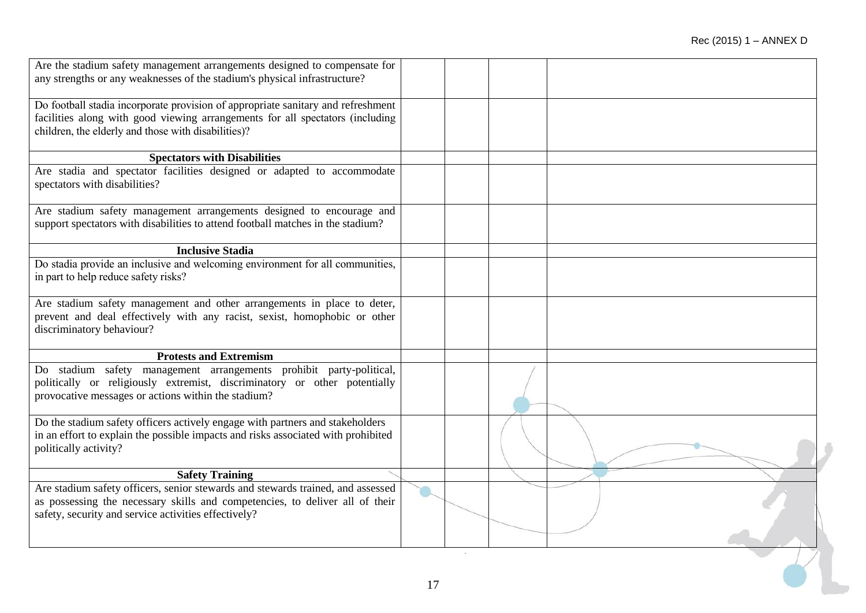| Are the stadium safety management arrangements designed to compensate for<br>any strengths or any weaknesses of the stadium's physical infrastructure?                                                                   |  |
|--------------------------------------------------------------------------------------------------------------------------------------------------------------------------------------------------------------------------|--|
| Do football stadia incorporate provision of appropriate sanitary and refreshment<br>facilities along with good viewing arrangements for all spectators (including<br>children, the elderly and those with disabilities)? |  |
| <b>Spectators with Disabilities</b>                                                                                                                                                                                      |  |
| Are stadia and spectator facilities designed or adapted to accommodate<br>spectators with disabilities?                                                                                                                  |  |
| Are stadium safety management arrangements designed to encourage and<br>support spectators with disabilities to attend football matches in the stadium?                                                                  |  |
| <b>Inclusive Stadia</b>                                                                                                                                                                                                  |  |
| Do stadia provide an inclusive and welcoming environment for all communities,<br>in part to help reduce safety risks?                                                                                                    |  |
| Are stadium safety management and other arrangements in place to deter,<br>prevent and deal effectively with any racist, sexist, homophobic or other<br>discriminatory behaviour?                                        |  |
| <b>Protests and Extremism</b>                                                                                                                                                                                            |  |
| Do stadium safety management arrangements prohibit party-political,<br>politically or religiously extremist, discriminatory or other potentially<br>provocative messages or actions within the stadium?                  |  |
| Do the stadium safety officers actively engage with partners and stakeholders<br>in an effort to explain the possible impacts and risks associated with prohibited<br>politically activity?                              |  |
| <b>Safety Training</b>                                                                                                                                                                                                   |  |
| Are stadium safety officers, senior stewards and stewards trained, and assessed<br>as possessing the necessary skills and competencies, to deliver all of their<br>safety, security and service activities effectively?  |  |
|                                                                                                                                                                                                                          |  |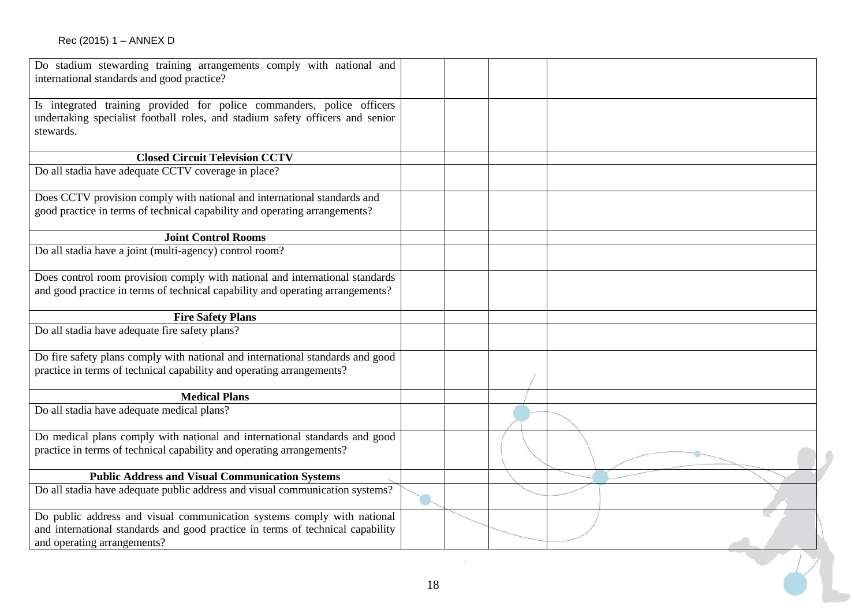| Do stadium stewarding training arrangements comply with national and<br>international standards and good practice?                                                                       |    |  |  |
|------------------------------------------------------------------------------------------------------------------------------------------------------------------------------------------|----|--|--|
| Is integrated training provided for police commanders, police officers<br>undertaking specialist football roles, and stadium safety officers and senior<br>stewards.                     |    |  |  |
| <b>Closed Circuit Television CCTV</b>                                                                                                                                                    |    |  |  |
| Do all stadia have adequate CCTV coverage in place?                                                                                                                                      |    |  |  |
| Does CCTV provision comply with national and international standards and<br>good practice in terms of technical capability and operating arrangements?                                   |    |  |  |
| <b>Joint Control Rooms</b>                                                                                                                                                               |    |  |  |
| Do all stadia have a joint (multi-agency) control room?                                                                                                                                  |    |  |  |
| Does control room provision comply with national and international standards                                                                                                             |    |  |  |
| and good practice in terms of technical capability and operating arrangements?                                                                                                           |    |  |  |
| <b>Fire Safety Plans</b>                                                                                                                                                                 |    |  |  |
| Do all stadia have adequate fire safety plans?                                                                                                                                           |    |  |  |
| Do fire safety plans comply with national and international standards and good<br>practice in terms of technical capability and operating arrangements?                                  |    |  |  |
| <b>Medical Plans</b>                                                                                                                                                                     |    |  |  |
| Do all stadia have adequate medical plans?                                                                                                                                               |    |  |  |
| Do medical plans comply with national and international standards and good<br>practice in terms of technical capability and operating arrangements?                                      |    |  |  |
| <b>Public Address and Visual Communication Systems</b>                                                                                                                                   |    |  |  |
| Do all stadia have adequate public address and visual communication systems?                                                                                                             |    |  |  |
| Do public address and visual communication systems comply with national<br>and international standards and good practice in terms of technical capability<br>and operating arrangements? |    |  |  |
|                                                                                                                                                                                          |    |  |  |
|                                                                                                                                                                                          | 18 |  |  |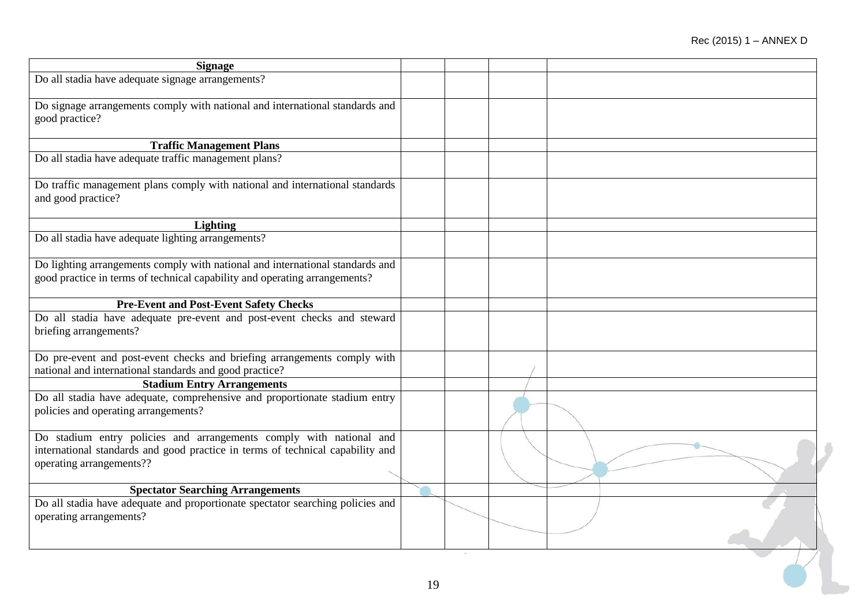| <b>Signage</b>                                                                                                                                        |    |  |  |
|-------------------------------------------------------------------------------------------------------------------------------------------------------|----|--|--|
| Do all stadia have adequate signage arrangements?                                                                                                     |    |  |  |
|                                                                                                                                                       |    |  |  |
| Do signage arrangements comply with national and international standards and<br>good practice?                                                        |    |  |  |
|                                                                                                                                                       |    |  |  |
| <b>Traffic Management Plans</b>                                                                                                                       |    |  |  |
| Do all stadia have adequate traffic management plans?                                                                                                 |    |  |  |
|                                                                                                                                                       |    |  |  |
| Do traffic management plans comply with national and international standards                                                                          |    |  |  |
| and good practice?                                                                                                                                    |    |  |  |
| <b>Lighting</b>                                                                                                                                       |    |  |  |
| Do all stadia have adequate lighting arrangements?                                                                                                    |    |  |  |
|                                                                                                                                                       |    |  |  |
| Do lighting arrangements comply with national and international standards and                                                                         |    |  |  |
| good practice in terms of technical capability and operating arrangements?                                                                            |    |  |  |
|                                                                                                                                                       |    |  |  |
| <b>Pre-Event and Post-Event Safety Checks</b>                                                                                                         |    |  |  |
| Do all stadia have adequate pre-event and post-event checks and steward                                                                               |    |  |  |
| briefing arrangements?                                                                                                                                |    |  |  |
| Do pre-event and post-event checks and briefing arrangements comply with                                                                              |    |  |  |
| national and international standards and good practice?                                                                                               |    |  |  |
| <b>Stadium Entry Arrangements</b>                                                                                                                     |    |  |  |
| Do all stadia have adequate, comprehensive and proportionate stadium entry                                                                            |    |  |  |
| policies and operating arrangements?                                                                                                                  |    |  |  |
|                                                                                                                                                       |    |  |  |
| Do stadium entry policies and arrangements comply with national and<br>international standards and good practice in terms of technical capability and |    |  |  |
| operating arrangements??                                                                                                                              |    |  |  |
|                                                                                                                                                       |    |  |  |
| <b>Spectator Searching Arrangements</b>                                                                                                               |    |  |  |
| Do all stadia have adequate and proportionate spectator searching policies and                                                                        |    |  |  |
| operating arrangements?                                                                                                                               |    |  |  |
|                                                                                                                                                       |    |  |  |
|                                                                                                                                                       |    |  |  |
|                                                                                                                                                       |    |  |  |
|                                                                                                                                                       | 19 |  |  |
|                                                                                                                                                       |    |  |  |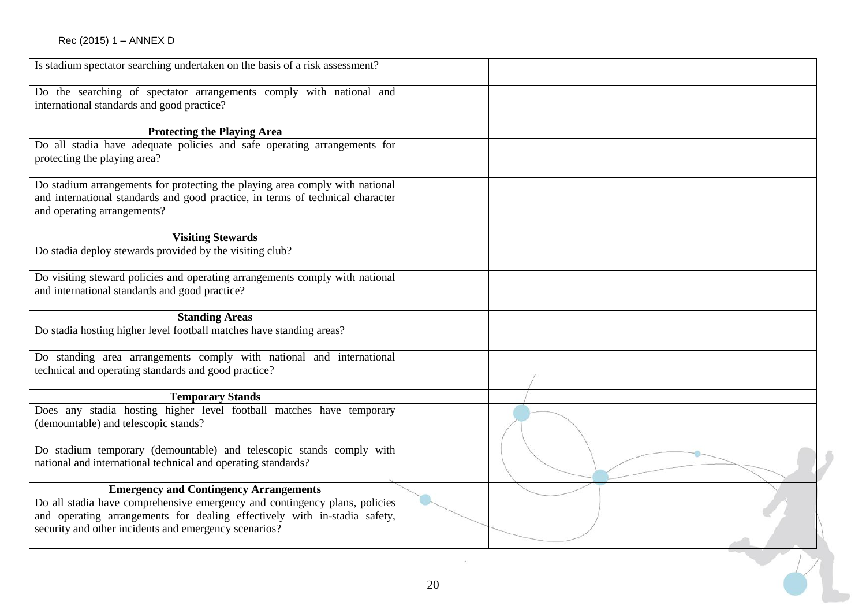| Is stadium spectator searching undertaken on the basis of a risk assessment?                                                                                                                                     |    |  |  |
|------------------------------------------------------------------------------------------------------------------------------------------------------------------------------------------------------------------|----|--|--|
| Do the searching of spectator arrangements comply with national and<br>international standards and good practice?                                                                                                |    |  |  |
| <b>Protecting the Playing Area</b>                                                                                                                                                                               |    |  |  |
| Do all stadia have adequate policies and safe operating arrangements for<br>protecting the playing area?                                                                                                         |    |  |  |
| Do stadium arrangements for protecting the playing area comply with national<br>and international standards and good practice, in terms of technical character<br>and operating arrangements?                    |    |  |  |
| <b>Visiting Stewards</b>                                                                                                                                                                                         |    |  |  |
| Do stadia deploy stewards provided by the visiting club?                                                                                                                                                         |    |  |  |
| Do visiting steward policies and operating arrangements comply with national<br>and international standards and good practice?                                                                                   |    |  |  |
| <b>Standing Areas</b>                                                                                                                                                                                            |    |  |  |
| Do stadia hosting higher level football matches have standing areas?                                                                                                                                             |    |  |  |
| Do standing area arrangements comply with national and international<br>technical and operating standards and good practice?                                                                                     |    |  |  |
| <b>Temporary Stands</b>                                                                                                                                                                                          |    |  |  |
| Does any stadia hosting higher level football matches have temporary<br>(demountable) and telescopic stands?                                                                                                     |    |  |  |
| Do stadium temporary (demountable) and telescopic stands comply with<br>national and international technical and operating standards?                                                                            |    |  |  |
| <b>Emergency and Contingency Arrangements</b>                                                                                                                                                                    |    |  |  |
| Do all stadia have comprehensive emergency and contingency plans, policies<br>and operating arrangements for dealing effectively with in-stadia safety,<br>security and other incidents and emergency scenarios? |    |  |  |
|                                                                                                                                                                                                                  |    |  |  |
|                                                                                                                                                                                                                  | 20 |  |  |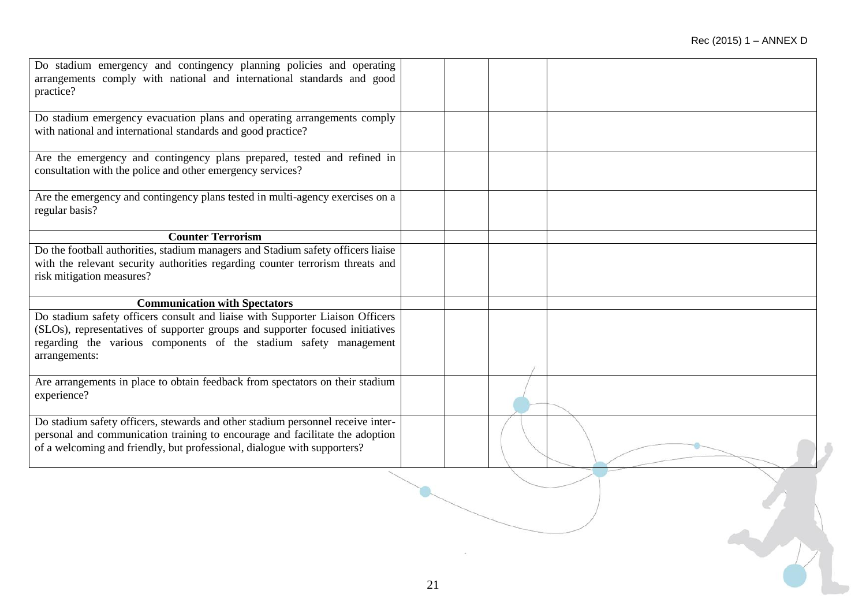| Do stadium emergency and contingency planning policies and operating<br>arrangements comply with national and international standards and good<br>practice? |  |  |
|-------------------------------------------------------------------------------------------------------------------------------------------------------------|--|--|
| Do stadium emergency evacuation plans and operating arrangements comply<br>with national and international standards and good practice?                     |  |  |
| Are the emergency and contingency plans prepared, tested and refined in<br>consultation with the police and other emergency services?                       |  |  |
| Are the emergency and contingency plans tested in multi-agency exercises on a<br>regular basis?                                                             |  |  |
| <b>Counter Terrorism</b>                                                                                                                                    |  |  |
| Do the football authorities, stadium managers and Stadium safety officers liaise                                                                            |  |  |
| with the relevant security authorities regarding counter terrorism threats and                                                                              |  |  |
| risk mitigation measures?                                                                                                                                   |  |  |
| <b>Communication with Spectators</b>                                                                                                                        |  |  |
| Do stadium safety officers consult and liaise with Supporter Liaison Officers                                                                               |  |  |
| (SLOs), representatives of supporter groups and supporter focused initiatives                                                                               |  |  |
| regarding the various components of the stadium safety management                                                                                           |  |  |
| arrangements:                                                                                                                                               |  |  |
|                                                                                                                                                             |  |  |
| Are arrangements in place to obtain feedback from spectators on their stadium<br>experience?                                                                |  |  |
| Do stadium safety officers, stewards and other stadium personnel receive inter-                                                                             |  |  |
| personal and communication training to encourage and facilitate the adoption                                                                                |  |  |
| of a welcoming and friendly, but professional, dialogue with supporters?                                                                                    |  |  |
|                                                                                                                                                             |  |  |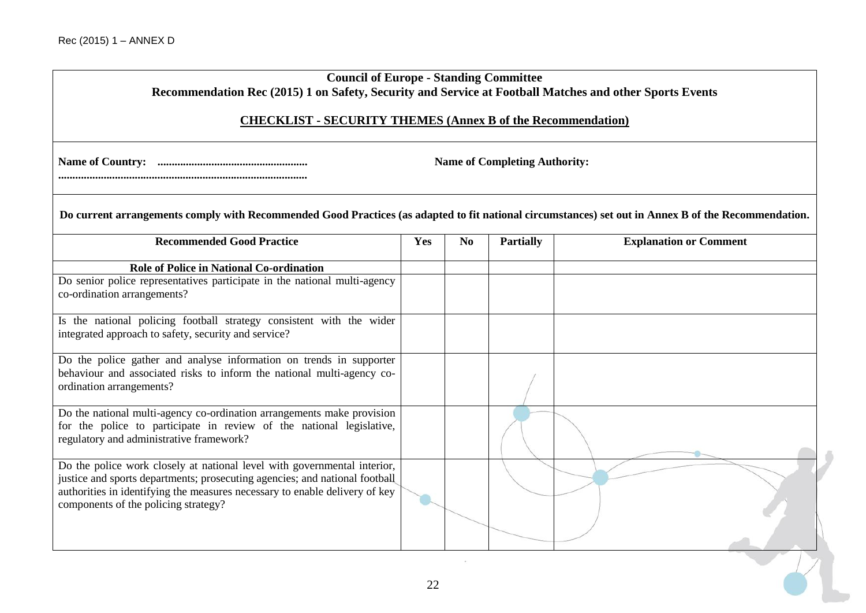| <b>Council of Europe - Standing Committee</b><br>Recommendation Rec (2015) 1 on Safety, Security and Service at Football Matches and other Sports Events                                                                                                                       |     |                |                  |                               |  |  |
|--------------------------------------------------------------------------------------------------------------------------------------------------------------------------------------------------------------------------------------------------------------------------------|-----|----------------|------------------|-------------------------------|--|--|
| <b>CHECKLIST - SECURITY THEMES (Annex B of the Recommendation)</b>                                                                                                                                                                                                             |     |                |                  |                               |  |  |
| <b>Name of Completing Authority:</b>                                                                                                                                                                                                                                           |     |                |                  |                               |  |  |
| Do current arrangements comply with Recommended Good Practices (as adapted to fit national circumstances) set out in Annex B of the Recommendation.                                                                                                                            |     |                |                  |                               |  |  |
| <b>Recommended Good Practice</b>                                                                                                                                                                                                                                               | Yes | N <sub>0</sub> | <b>Partially</b> | <b>Explanation or Comment</b> |  |  |
| <b>Role of Police in National Co-ordination</b><br>Do senior police representatives participate in the national multi-agency<br>co-ordination arrangements?                                                                                                                    |     |                |                  |                               |  |  |
| Is the national policing football strategy consistent with the wider<br>integrated approach to safety, security and service?                                                                                                                                                   |     |                |                  |                               |  |  |
| Do the police gather and analyse information on trends in supporter<br>behaviour and associated risks to inform the national multi-agency co-<br>ordination arrangements?                                                                                                      |     |                |                  |                               |  |  |
| Do the national multi-agency co-ordination arrangements make provision<br>for the police to participate in review of the national legislative,<br>regulatory and administrative framework?                                                                                     |     |                |                  |                               |  |  |
| Do the police work closely at national level with governmental interior,<br>justice and sports departments; prosecuting agencies; and national football<br>authorities in identifying the measures necessary to enable delivery of key<br>components of the policing strategy? |     |                |                  |                               |  |  |
|                                                                                                                                                                                                                                                                                | 22  |                |                  |                               |  |  |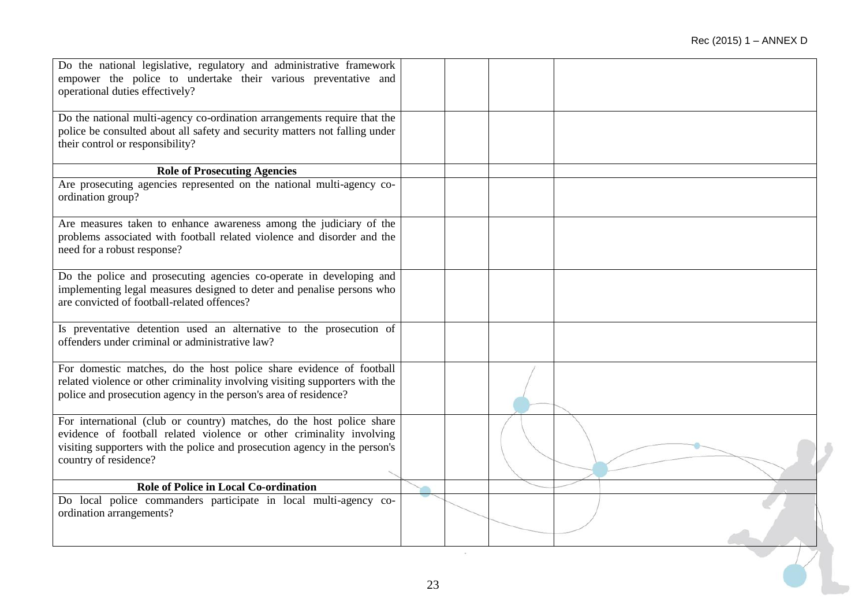| Do the national legislative, regulatory and administrative framework<br>empower the police to undertake their various preventative and<br>operational duties effectively?                                                                            |    |  |  |
|------------------------------------------------------------------------------------------------------------------------------------------------------------------------------------------------------------------------------------------------------|----|--|--|
| Do the national multi-agency co-ordination arrangements require that the<br>police be consulted about all safety and security matters not falling under<br>their control or responsibility?                                                          |    |  |  |
| <b>Role of Prosecuting Agencies</b>                                                                                                                                                                                                                  |    |  |  |
| Are prosecuting agencies represented on the national multi-agency co-<br>ordination group?                                                                                                                                                           |    |  |  |
| Are measures taken to enhance awareness among the judiciary of the<br>problems associated with football related violence and disorder and the<br>need for a robust response?                                                                         |    |  |  |
| Do the police and prosecuting agencies co-operate in developing and<br>implementing legal measures designed to deter and penalise persons who<br>are convicted of football-related offences?                                                         |    |  |  |
| Is preventative detention used an alternative to the prosecution of<br>offenders under criminal or administrative law?                                                                                                                               |    |  |  |
| For domestic matches, do the host police share evidence of football<br>related violence or other criminality involving visiting supporters with the<br>police and prosecution agency in the person's area of residence?                              |    |  |  |
| For international (club or country) matches, do the host police share<br>evidence of football related violence or other criminality involving<br>visiting supporters with the police and prosecution agency in the person's<br>country of residence? |    |  |  |
| Role of Police in Local Co-ordination                                                                                                                                                                                                                |    |  |  |
| Do local police commanders participate in local multi-agency co-<br>ordination arrangements?                                                                                                                                                         |    |  |  |
|                                                                                                                                                                                                                                                      | 23 |  |  |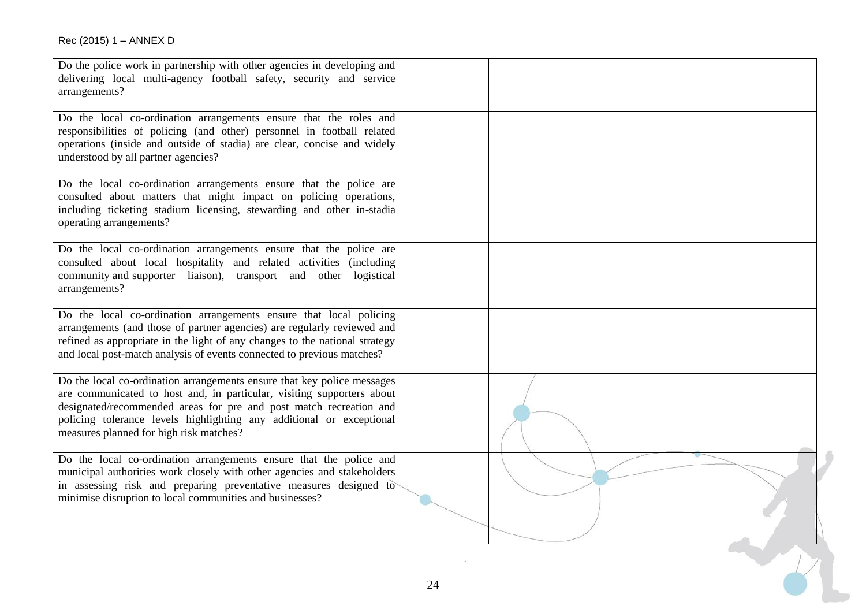| Do the local co-ordination arrangements ensure that the roles and<br>responsibilities of policing (and other) personnel in football related<br>operations (inside and outside of stadia) are clear, concise and widely<br>understood by all partner agencies?<br>Do the local co-ordination arrangements ensure that the police are<br>consulted about matters that might impact on policing operations,<br>including ticketing stadium licensing, stewarding and other in-stadia<br>operating arrangements?<br>Do the local co-ordination arrangements ensure that the police are<br>consulted about local hospitality and related activities (including<br>community and supporter liaison), transport and other logistical<br>arrangements?<br>Do the local co-ordination arrangements ensure that local policing<br>arrangements (and those of partner agencies) are regularly reviewed and<br>refined as appropriate in the light of any changes to the national strategy<br>and local post-match analysis of events connected to previous matches?<br>Do the local co-ordination arrangements ensure that key police messages<br>are communicated to host and, in particular, visiting supporters about<br>designated/recommended areas for pre and post match recreation and<br>policing tolerance levels highlighting any additional or exceptional<br>measures planned for high risk matches?<br>Do the local co-ordination arrangements ensure that the police and<br>municipal authorities work closely with other agencies and stakeholders<br>in assessing risk and preparing preventative measures designed to<br>minimise disruption to local communities and businesses? | Do the police work in partnership with other agencies in developing and<br>delivering local multi-agency football safety, security and service<br>arrangements? |  |  |
|------------------------------------------------------------------------------------------------------------------------------------------------------------------------------------------------------------------------------------------------------------------------------------------------------------------------------------------------------------------------------------------------------------------------------------------------------------------------------------------------------------------------------------------------------------------------------------------------------------------------------------------------------------------------------------------------------------------------------------------------------------------------------------------------------------------------------------------------------------------------------------------------------------------------------------------------------------------------------------------------------------------------------------------------------------------------------------------------------------------------------------------------------------------------------------------------------------------------------------------------------------------------------------------------------------------------------------------------------------------------------------------------------------------------------------------------------------------------------------------------------------------------------------------------------------------------------------------------------------------------------------------------------------------------------------------|-----------------------------------------------------------------------------------------------------------------------------------------------------------------|--|--|
|                                                                                                                                                                                                                                                                                                                                                                                                                                                                                                                                                                                                                                                                                                                                                                                                                                                                                                                                                                                                                                                                                                                                                                                                                                                                                                                                                                                                                                                                                                                                                                                                                                                                                          |                                                                                                                                                                 |  |  |
|                                                                                                                                                                                                                                                                                                                                                                                                                                                                                                                                                                                                                                                                                                                                                                                                                                                                                                                                                                                                                                                                                                                                                                                                                                                                                                                                                                                                                                                                                                                                                                                                                                                                                          |                                                                                                                                                                 |  |  |
|                                                                                                                                                                                                                                                                                                                                                                                                                                                                                                                                                                                                                                                                                                                                                                                                                                                                                                                                                                                                                                                                                                                                                                                                                                                                                                                                                                                                                                                                                                                                                                                                                                                                                          |                                                                                                                                                                 |  |  |
|                                                                                                                                                                                                                                                                                                                                                                                                                                                                                                                                                                                                                                                                                                                                                                                                                                                                                                                                                                                                                                                                                                                                                                                                                                                                                                                                                                                                                                                                                                                                                                                                                                                                                          |                                                                                                                                                                 |  |  |
|                                                                                                                                                                                                                                                                                                                                                                                                                                                                                                                                                                                                                                                                                                                                                                                                                                                                                                                                                                                                                                                                                                                                                                                                                                                                                                                                                                                                                                                                                                                                                                                                                                                                                          |                                                                                                                                                                 |  |  |
|                                                                                                                                                                                                                                                                                                                                                                                                                                                                                                                                                                                                                                                                                                                                                                                                                                                                                                                                                                                                                                                                                                                                                                                                                                                                                                                                                                                                                                                                                                                                                                                                                                                                                          |                                                                                                                                                                 |  |  |
| 24                                                                                                                                                                                                                                                                                                                                                                                                                                                                                                                                                                                                                                                                                                                                                                                                                                                                                                                                                                                                                                                                                                                                                                                                                                                                                                                                                                                                                                                                                                                                                                                                                                                                                       |                                                                                                                                                                 |  |  |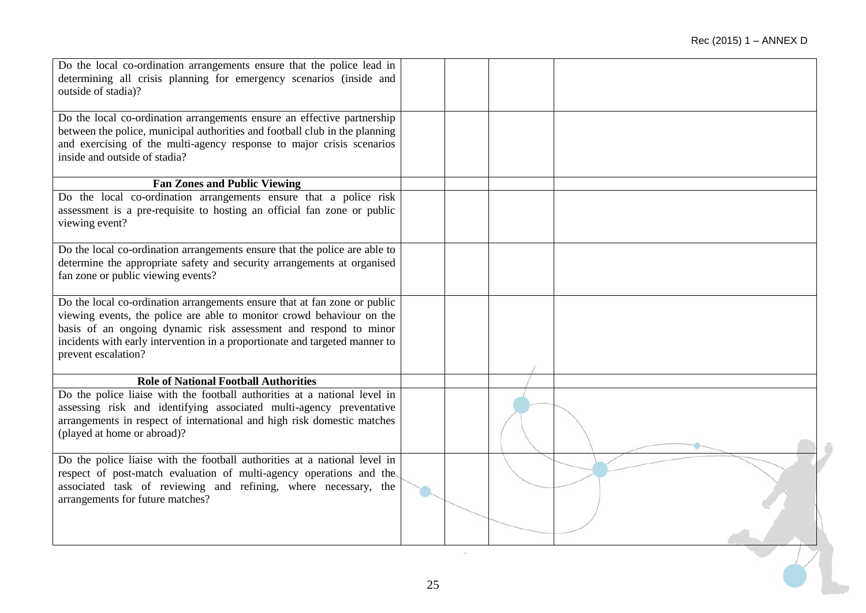| Do the local co-ordination arrangements ensure that the police lead in<br>determining all crisis planning for emergency scenarios (inside and<br>outside of stadia)?                                                                                                                                                         |  |  |  |
|------------------------------------------------------------------------------------------------------------------------------------------------------------------------------------------------------------------------------------------------------------------------------------------------------------------------------|--|--|--|
| Do the local co-ordination arrangements ensure an effective partnership<br>between the police, municipal authorities and football club in the planning<br>and exercising of the multi-agency response to major crisis scenarios<br>inside and outside of stadia?                                                             |  |  |  |
| <b>Fan Zones and Public Viewing</b>                                                                                                                                                                                                                                                                                          |  |  |  |
| Do the local co-ordination arrangements ensure that a police risk<br>assessment is a pre-requisite to hosting an official fan zone or public<br>viewing event?                                                                                                                                                               |  |  |  |
| Do the local co-ordination arrangements ensure that the police are able to<br>determine the appropriate safety and security arrangements at organised<br>fan zone or public viewing events?                                                                                                                                  |  |  |  |
| Do the local co-ordination arrangements ensure that at fan zone or public<br>viewing events, the police are able to monitor crowd behaviour on the<br>basis of an ongoing dynamic risk assessment and respond to minor<br>incidents with early intervention in a proportionate and targeted manner to<br>prevent escalation? |  |  |  |
| <b>Role of National Football Authorities</b>                                                                                                                                                                                                                                                                                 |  |  |  |
| Do the police liaise with the football authorities at a national level in<br>assessing risk and identifying associated multi-agency preventative<br>arrangements in respect of international and high risk domestic matches<br>(played at home or abroad)?                                                                   |  |  |  |
| Do the police liaise with the football authorities at a national level in<br>respect of post-match evaluation of multi-agency operations and the<br>associated task of reviewing and refining, where necessary, the<br>arrangements for future matches?                                                                      |  |  |  |
|                                                                                                                                                                                                                                                                                                                              |  |  |  |
|                                                                                                                                                                                                                                                                                                                              |  |  |  |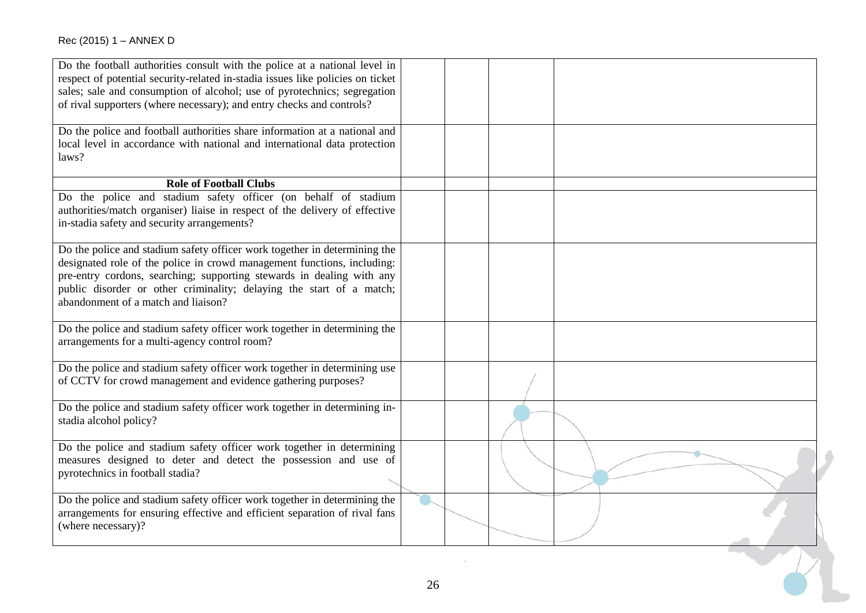| Do the football authorities consult with the police at a national level in<br>respect of potential security-related in-stadia issues like policies on ticket<br>sales; sale and consumption of alcohol; use of pyrotechnics; segregation<br>of rival supporters (where necessary); and entry checks and controls?<br>Do the police and football authorities share information at a national and<br>local level in accordance with national and international data protection |  |  |
|------------------------------------------------------------------------------------------------------------------------------------------------------------------------------------------------------------------------------------------------------------------------------------------------------------------------------------------------------------------------------------------------------------------------------------------------------------------------------|--|--|
| laws?                                                                                                                                                                                                                                                                                                                                                                                                                                                                        |  |  |
| <b>Role of Football Clubs</b>                                                                                                                                                                                                                                                                                                                                                                                                                                                |  |  |
| Do the police and stadium safety officer (on behalf of stadium<br>authorities/match organiser) liaise in respect of the delivery of effective<br>in-stadia safety and security arrangements?                                                                                                                                                                                                                                                                                 |  |  |
| Do the police and stadium safety officer work together in determining the<br>designated role of the police in crowd management functions, including:<br>pre-entry cordons, searching; supporting stewards in dealing with any<br>public disorder or other criminality; delaying the start of a match;<br>abandonment of a match and liaison?                                                                                                                                 |  |  |
| Do the police and stadium safety officer work together in determining the<br>arrangements for a multi-agency control room?                                                                                                                                                                                                                                                                                                                                                   |  |  |
| Do the police and stadium safety officer work together in determining use<br>of CCTV for crowd management and evidence gathering purposes?                                                                                                                                                                                                                                                                                                                                   |  |  |
| Do the police and stadium safety officer work together in determining in-<br>stadia alcohol policy?                                                                                                                                                                                                                                                                                                                                                                          |  |  |
| Do the police and stadium safety officer work together in determining<br>measures designed to deter and detect the possession and use of<br>pyrotechnics in football stadia?                                                                                                                                                                                                                                                                                                 |  |  |
| Do the police and stadium safety officer work together in determining the<br>arrangements for ensuring effective and efficient separation of rival fans<br>(where necessary)?                                                                                                                                                                                                                                                                                                |  |  |

CX 1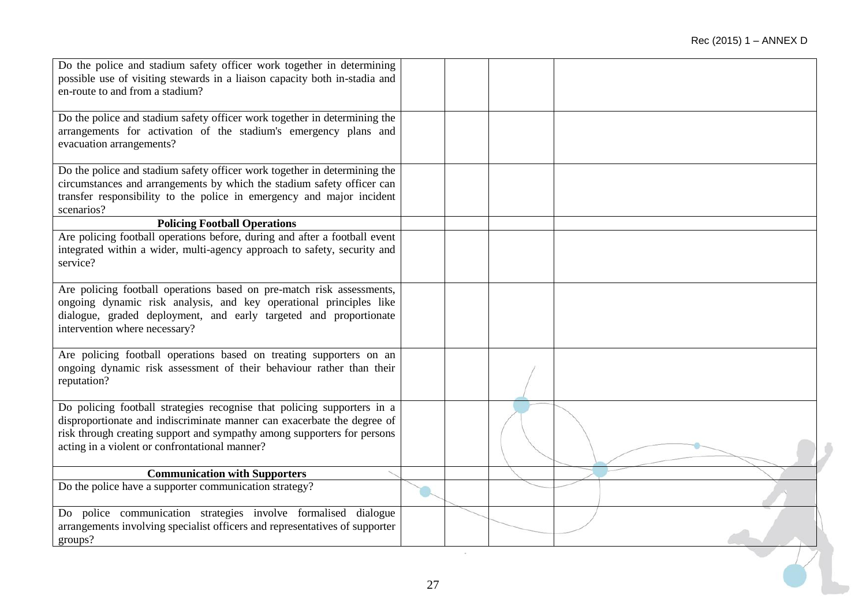| Do the police and stadium safety officer work together in determining<br>possible use of visiting stewards in a liaison capacity both in-stadia and<br>en-route to and from a stadium?                                                                                          |  |  |
|---------------------------------------------------------------------------------------------------------------------------------------------------------------------------------------------------------------------------------------------------------------------------------|--|--|
| Do the police and stadium safety officer work together in determining the<br>arrangements for activation of the stadium's emergency plans and<br>evacuation arrangements?                                                                                                       |  |  |
| Do the police and stadium safety officer work together in determining the<br>circumstances and arrangements by which the stadium safety officer can<br>transfer responsibility to the police in emergency and major incident<br>scenarios?                                      |  |  |
| <b>Policing Football Operations</b>                                                                                                                                                                                                                                             |  |  |
| Are policing football operations before, during and after a football event<br>integrated within a wider, multi-agency approach to safety, security and<br>service?                                                                                                              |  |  |
| Are policing football operations based on pre-match risk assessments,<br>ongoing dynamic risk analysis, and key operational principles like<br>dialogue, graded deployment, and early targeted and proportionate<br>intervention where necessary?                               |  |  |
| Are policing football operations based on treating supporters on an<br>ongoing dynamic risk assessment of their behaviour rather than their<br>reputation?                                                                                                                      |  |  |
| Do policing football strategies recognise that policing supporters in a<br>disproportionate and indiscriminate manner can exacerbate the degree of<br>risk through creating support and sympathy among supporters for persons<br>acting in a violent or confrontational manner? |  |  |
| <b>Communication with Supporters</b>                                                                                                                                                                                                                                            |  |  |
| Do the police have a supporter communication strategy?                                                                                                                                                                                                                          |  |  |
| Do police communication strategies involve formalised dialogue<br>arrangements involving specialist officers and representatives of supporter<br>groups?                                                                                                                        |  |  |
|                                                                                                                                                                                                                                                                                 |  |  |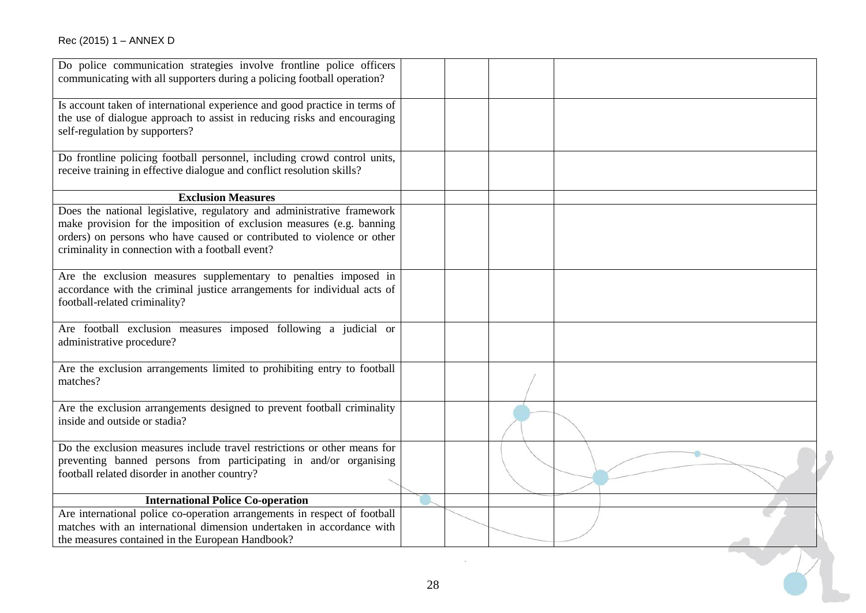| Do police communication strategies involve frontline police officers<br>communicating with all supporters during a policing football operation?                                                                                                                               |    |  |  |
|-------------------------------------------------------------------------------------------------------------------------------------------------------------------------------------------------------------------------------------------------------------------------------|----|--|--|
|                                                                                                                                                                                                                                                                               |    |  |  |
| Is account taken of international experience and good practice in terms of<br>the use of dialogue approach to assist in reducing risks and encouraging<br>self-regulation by supporters?                                                                                      |    |  |  |
| Do frontline policing football personnel, including crowd control units,<br>receive training in effective dialogue and conflict resolution skills?                                                                                                                            |    |  |  |
| <b>Exclusion Measures</b>                                                                                                                                                                                                                                                     |    |  |  |
| Does the national legislative, regulatory and administrative framework<br>make provision for the imposition of exclusion measures (e.g. banning<br>orders) on persons who have caused or contributed to violence or other<br>criminality in connection with a football event? |    |  |  |
| Are the exclusion measures supplementary to penalties imposed in<br>accordance with the criminal justice arrangements for individual acts of<br>football-related criminality?                                                                                                 |    |  |  |
| Are football exclusion measures imposed following a judicial or<br>administrative procedure?                                                                                                                                                                                  |    |  |  |
| Are the exclusion arrangements limited to prohibiting entry to football<br>matches?                                                                                                                                                                                           |    |  |  |
| Are the exclusion arrangements designed to prevent football criminality<br>inside and outside or stadia?                                                                                                                                                                      |    |  |  |
| Do the exclusion measures include travel restrictions or other means for<br>preventing banned persons from participating in and/or organising<br>football related disorder in another country?                                                                                |    |  |  |
| <b>International Police Co-operation</b>                                                                                                                                                                                                                                      |    |  |  |
| Are international police co-operation arrangements in respect of football<br>matches with an international dimension undertaken in accordance with<br>the measures contained in the European Handbook?                                                                        |    |  |  |
|                                                                                                                                                                                                                                                                               |    |  |  |
|                                                                                                                                                                                                                                                                               | 28 |  |  |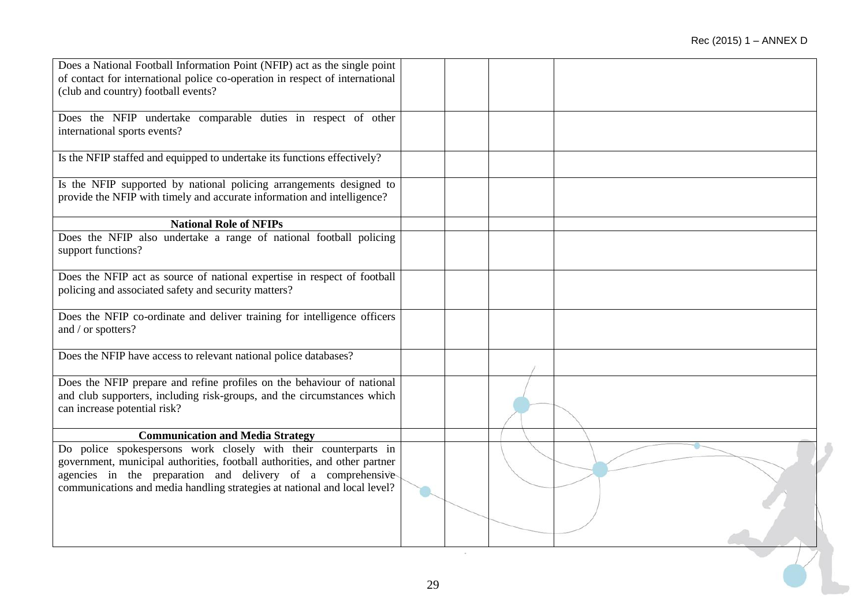| Does a National Football Information Point (NFIP) act as the single point<br>of contact for international police co-operation in respect of international<br>(club and country) football events?                                                                                           |        |  |  |
|--------------------------------------------------------------------------------------------------------------------------------------------------------------------------------------------------------------------------------------------------------------------------------------------|--------|--|--|
| Does the NFIP undertake comparable duties in respect of other<br>international sports events?                                                                                                                                                                                              |        |  |  |
| Is the NFIP staffed and equipped to undertake its functions effectively?                                                                                                                                                                                                                   |        |  |  |
| Is the NFIP supported by national policing arrangements designed to<br>provide the NFIP with timely and accurate information and intelligence?                                                                                                                                             |        |  |  |
| <b>National Role of NFIPs</b>                                                                                                                                                                                                                                                              |        |  |  |
| Does the NFIP also undertake a range of national football policing<br>support functions?                                                                                                                                                                                                   |        |  |  |
| Does the NFIP act as source of national expertise in respect of football<br>policing and associated safety and security matters?                                                                                                                                                           |        |  |  |
| Does the NFIP co-ordinate and deliver training for intelligence officers<br>and / or spotters?                                                                                                                                                                                             |        |  |  |
| Does the NFIP have access to relevant national police databases?                                                                                                                                                                                                                           |        |  |  |
| Does the NFIP prepare and refine profiles on the behaviour of national<br>and club supporters, including risk-groups, and the circumstances which<br>can increase potential risk?                                                                                                          |        |  |  |
| <b>Communication and Media Strategy</b>                                                                                                                                                                                                                                                    |        |  |  |
| Do police spokespersons work closely with their counterparts in<br>government, municipal authorities, football authorities, and other partner<br>agencies in the preparation and delivery of a comprehensive-<br>communications and media handling strategies at national and local level? |        |  |  |
|                                                                                                                                                                                                                                                                                            |        |  |  |
|                                                                                                                                                                                                                                                                                            | $\sim$ |  |  |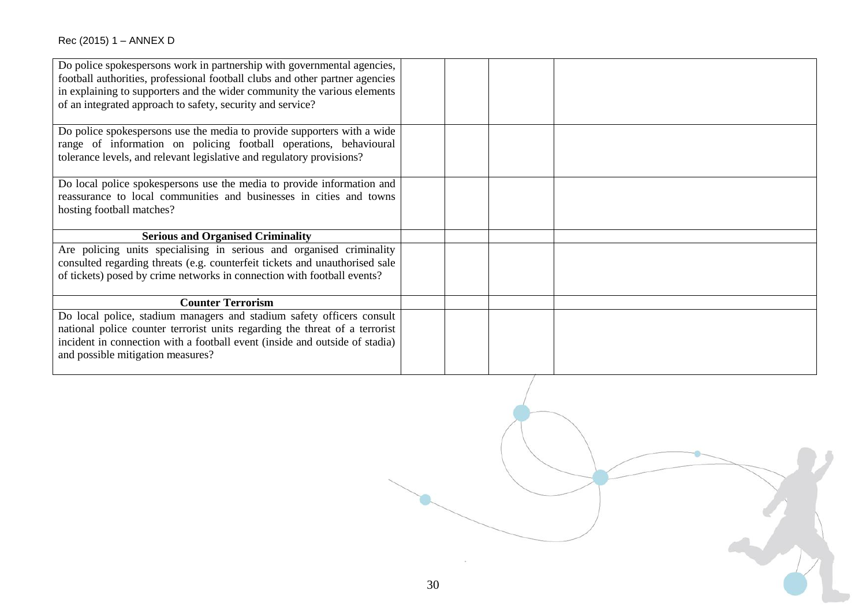| Do police spokespersons work in partnership with governmental agencies,      |  |
|------------------------------------------------------------------------------|--|
| football authorities, professional football clubs and other partner agencies |  |
| in explaining to supporters and the wider community the various elements     |  |
| of an integrated approach to safety, security and service?                   |  |
|                                                                              |  |
| Do police spokes persons use the media to provide supporters with a wide     |  |
| range of information on policing football operations, behavioural            |  |
| tolerance levels, and relevant legislative and regulatory provisions?        |  |
|                                                                              |  |
| Do local police spokespersons use the media to provide information and       |  |
| reassurance to local communities and businesses in cities and towns          |  |
| hosting football matches?                                                    |  |
|                                                                              |  |
| <b>Serious and Organised Criminality</b>                                     |  |
| Are policing units specialising in serious and organised criminality         |  |
| consulted regarding threats (e.g. counterfeit tickets and unauthorised sale  |  |
| of tickets) posed by crime networks in connection with football events?      |  |
|                                                                              |  |
| <b>Counter Terrorism</b>                                                     |  |
| Do local police, stadium managers and stadium safety officers consult        |  |
| national police counter terrorist units regarding the threat of a terrorist  |  |
| incident in connection with a football event (inside and outside of stadia)  |  |
| and possible mitigation measures?                                            |  |
|                                                                              |  |

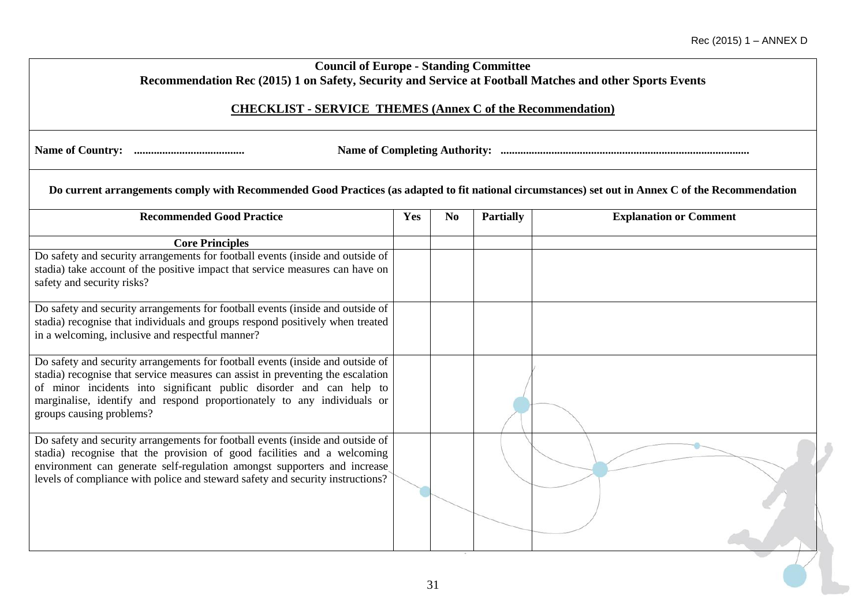| <b>Council of Europe - Standing Committee</b><br>Recommendation Rec (2015) 1 on Safety, Security and Service at Football Matches and other Sports Events                                                                                                                                                                                        |     |                |                  |                               |
|-------------------------------------------------------------------------------------------------------------------------------------------------------------------------------------------------------------------------------------------------------------------------------------------------------------------------------------------------|-----|----------------|------------------|-------------------------------|
| <b>CHECKLIST - SERVICE THEMES (Annex C of the Recommendation)</b>                                                                                                                                                                                                                                                                               |     |                |                  |                               |
|                                                                                                                                                                                                                                                                                                                                                 |     |                |                  |                               |
| Do current arrangements comply with Recommended Good Practices (as adapted to fit national circumstances) set out in Annex C of the Recommendation                                                                                                                                                                                              |     |                |                  |                               |
| <b>Recommended Good Practice</b>                                                                                                                                                                                                                                                                                                                | Yes | N <sub>0</sub> | <b>Partially</b> | <b>Explanation or Comment</b> |
| <b>Core Principles</b>                                                                                                                                                                                                                                                                                                                          |     |                |                  |                               |
| Do safety and security arrangements for football events (inside and outside of<br>stadia) take account of the positive impact that service measures can have on<br>safety and security risks?                                                                                                                                                   |     |                |                  |                               |
| Do safety and security arrangements for football events (inside and outside of<br>stadia) recognise that individuals and groups respond positively when treated<br>in a welcoming, inclusive and respectful manner?                                                                                                                             |     |                |                  |                               |
| Do safety and security arrangements for football events (inside and outside of<br>stadia) recognise that service measures can assist in preventing the escalation<br>of minor incidents into significant public disorder and can help to<br>marginalise, identify and respond proportionately to any individuals or<br>groups causing problems? |     |                |                  |                               |
| Do safety and security arrangements for football events (inside and outside of<br>stadia) recognise that the provision of good facilities and a welcoming<br>environment can generate self-regulation amongst supporters and increase<br>levels of compliance with police and steward safety and security instructions?                         |     |                |                  |                               |
|                                                                                                                                                                                                                                                                                                                                                 |     |                |                  |                               |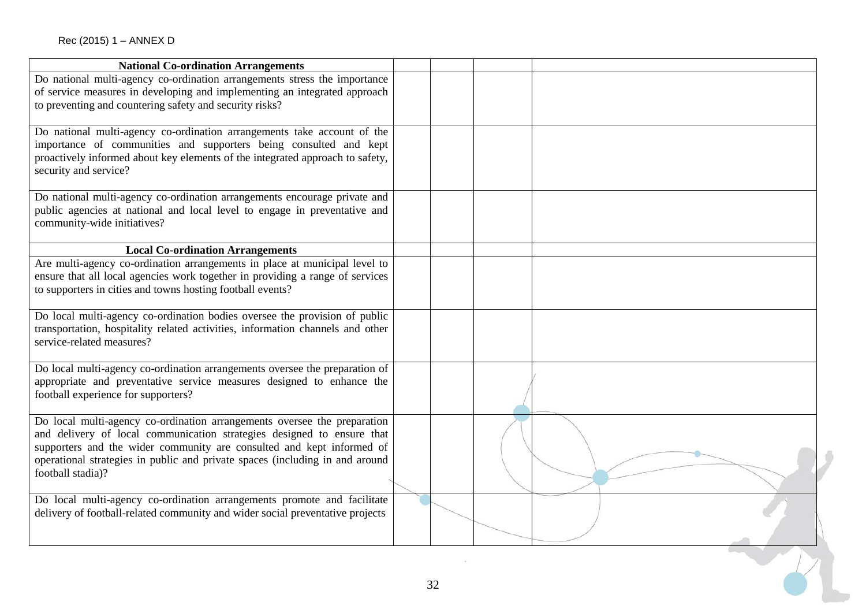| <b>National Co-ordination Arrangements</b>                                                                                                                                                                                                                                                                                       |    |  |
|----------------------------------------------------------------------------------------------------------------------------------------------------------------------------------------------------------------------------------------------------------------------------------------------------------------------------------|----|--|
| Do national multi-agency co-ordination arrangements stress the importance<br>of service measures in developing and implementing an integrated approach<br>to preventing and countering safety and security risks?                                                                                                                |    |  |
| Do national multi-agency co-ordination arrangements take account of the<br>importance of communities and supporters being consulted and kept<br>proactively informed about key elements of the integrated approach to safety,<br>security and service?                                                                           |    |  |
| Do national multi-agency co-ordination arrangements encourage private and<br>public agencies at national and local level to engage in preventative and<br>community-wide initiatives?                                                                                                                                            |    |  |
| <b>Local Co-ordination Arrangements</b>                                                                                                                                                                                                                                                                                          |    |  |
| Are multi-agency co-ordination arrangements in place at municipal level to<br>ensure that all local agencies work together in providing a range of services<br>to supporters in cities and towns hosting football events?                                                                                                        |    |  |
| Do local multi-agency co-ordination bodies oversee the provision of public<br>transportation, hospitality related activities, information channels and other<br>service-related measures?                                                                                                                                        |    |  |
| Do local multi-agency co-ordination arrangements oversee the preparation of<br>appropriate and preventative service measures designed to enhance the<br>football experience for supporters?                                                                                                                                      |    |  |
| Do local multi-agency co-ordination arrangements oversee the preparation<br>and delivery of local communication strategies designed to ensure that<br>supporters and the wider community are consulted and kept informed of<br>operational strategies in public and private spaces (including in and around<br>football stadia)? |    |  |
| Do local multi-agency co-ordination arrangements promote and facilitate<br>delivery of football-related community and wider social preventative projects                                                                                                                                                                         |    |  |
|                                                                                                                                                                                                                                                                                                                                  |    |  |
|                                                                                                                                                                                                                                                                                                                                  | 32 |  |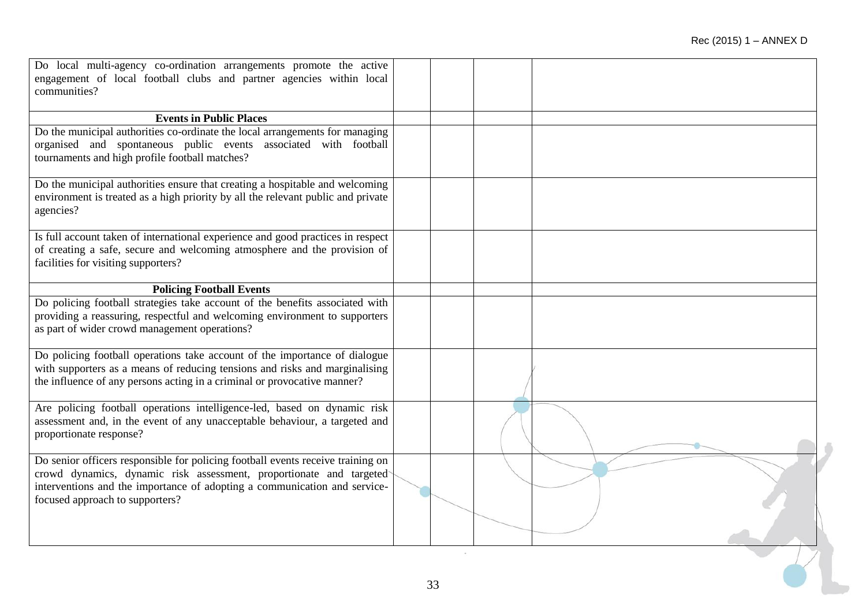| Do local multi-agency co-ordination arrangements promote the active                                                                                       |    |  |  |
|-----------------------------------------------------------------------------------------------------------------------------------------------------------|----|--|--|
| engagement of local football clubs and partner agencies within local                                                                                      |    |  |  |
| communities?                                                                                                                                              |    |  |  |
| <b>Events in Public Places</b>                                                                                                                            |    |  |  |
| Do the municipal authorities co-ordinate the local arrangements for managing                                                                              |    |  |  |
| organised and spontaneous public events associated with football                                                                                          |    |  |  |
| tournaments and high profile football matches?                                                                                                            |    |  |  |
| Do the municipal authorities ensure that creating a hospitable and welcoming                                                                              |    |  |  |
| environment is treated as a high priority by all the relevant public and private                                                                          |    |  |  |
| agencies?                                                                                                                                                 |    |  |  |
| Is full account taken of international experience and good practices in respect                                                                           |    |  |  |
| of creating a safe, secure and welcoming atmosphere and the provision of                                                                                  |    |  |  |
| facilities for visiting supporters?                                                                                                                       |    |  |  |
|                                                                                                                                                           |    |  |  |
| <b>Policing Football Events</b><br>Do policing football strategies take account of the benefits associated with                                           |    |  |  |
| providing a reassuring, respectful and welcoming environment to supporters                                                                                |    |  |  |
| as part of wider crowd management operations?                                                                                                             |    |  |  |
|                                                                                                                                                           |    |  |  |
| Do policing football operations take account of the importance of dialogue<br>with supporters as a means of reducing tensions and risks and marginalising |    |  |  |
| the influence of any persons acting in a criminal or provocative manner?                                                                                  |    |  |  |
|                                                                                                                                                           |    |  |  |
| Are policing football operations intelligence-led, based on dynamic risk                                                                                  |    |  |  |
| assessment and, in the event of any unacceptable behaviour, a targeted and<br>proportionate response?                                                     |    |  |  |
|                                                                                                                                                           |    |  |  |
| Do senior officers responsible for policing football events receive training on                                                                           |    |  |  |
| crowd dynamics, dynamic risk assessment, proportionate and targeted                                                                                       |    |  |  |
| interventions and the importance of adopting a communication and service-<br>focused approach to supporters?                                              |    |  |  |
|                                                                                                                                                           |    |  |  |
|                                                                                                                                                           |    |  |  |
|                                                                                                                                                           |    |  |  |
|                                                                                                                                                           |    |  |  |
|                                                                                                                                                           | 33 |  |  |
|                                                                                                                                                           |    |  |  |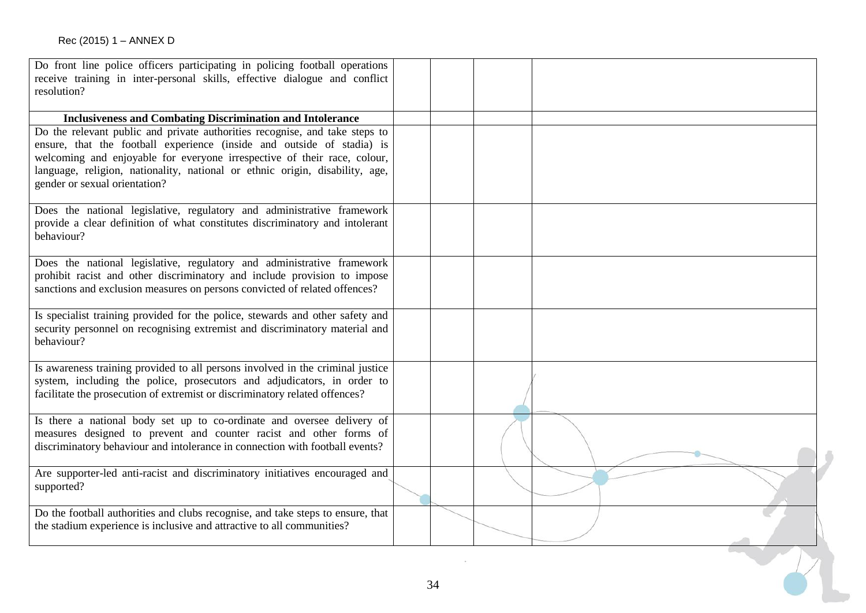| Do front line police officers participating in policing football operations<br>receive training in inter-personal skills, effective dialogue and conflict<br>resolution?                                                                                                                                                                           |    |  |
|----------------------------------------------------------------------------------------------------------------------------------------------------------------------------------------------------------------------------------------------------------------------------------------------------------------------------------------------------|----|--|
|                                                                                                                                                                                                                                                                                                                                                    |    |  |
| <b>Inclusiveness and Combating Discrimination and Intolerance</b>                                                                                                                                                                                                                                                                                  |    |  |
| Do the relevant public and private authorities recognise, and take steps to<br>ensure, that the football experience (inside and outside of stadia) is<br>welcoming and enjoyable for everyone irrespective of their race, colour,<br>language, religion, nationality, national or ethnic origin, disability, age,<br>gender or sexual orientation? |    |  |
| Does the national legislative, regulatory and administrative framework<br>provide a clear definition of what constitutes discriminatory and intolerant<br>behaviour?                                                                                                                                                                               |    |  |
| Does the national legislative, regulatory and administrative framework<br>prohibit racist and other discriminatory and include provision to impose<br>sanctions and exclusion measures on persons convicted of related offences?                                                                                                                   |    |  |
| Is specialist training provided for the police, stewards and other safety and<br>security personnel on recognising extremist and discriminatory material and<br>behaviour?                                                                                                                                                                         |    |  |
| Is awareness training provided to all persons involved in the criminal justice<br>system, including the police, prosecutors and adjudicators, in order to<br>facilitate the prosecution of extremist or discriminatory related offences?                                                                                                           |    |  |
| Is there a national body set up to co-ordinate and oversee delivery of<br>measures designed to prevent and counter racist and other forms of<br>discriminatory behaviour and intolerance in connection with football events?                                                                                                                       |    |  |
| Are supporter-led anti-racist and discriminatory initiatives encouraged and<br>supported?                                                                                                                                                                                                                                                          |    |  |
| Do the football authorities and clubs recognise, and take steps to ensure, that<br>the stadium experience is inclusive and attractive to all communities?                                                                                                                                                                                          |    |  |
|                                                                                                                                                                                                                                                                                                                                                    | 34 |  |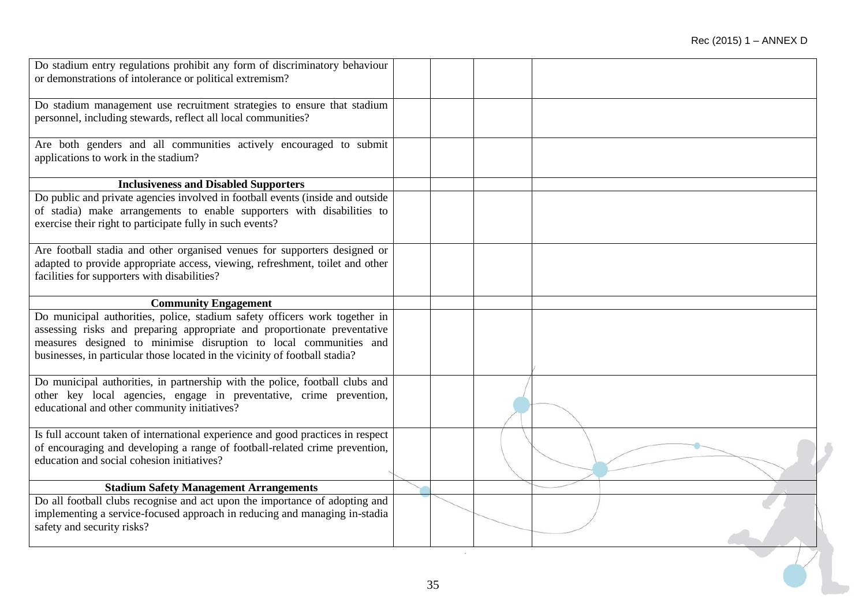| Do stadium entry regulations prohibit any form of discriminatory behaviour      |    |  |
|---------------------------------------------------------------------------------|----|--|
| or demonstrations of intolerance or political extremism?                        |    |  |
|                                                                                 |    |  |
| Do stadium management use recruitment strategies to ensure that stadium         |    |  |
| personnel, including stewards, reflect all local communities?                   |    |  |
|                                                                                 |    |  |
| Are both genders and all communities actively encouraged to submit              |    |  |
| applications to work in the stadium?                                            |    |  |
|                                                                                 |    |  |
| <b>Inclusiveness and Disabled Supporters</b>                                    |    |  |
| Do public and private agencies involved in football events (inside and outside  |    |  |
| of stadia) make arrangements to enable supporters with disabilities to          |    |  |
| exercise their right to participate fully in such events?                       |    |  |
|                                                                                 |    |  |
| Are football stadia and other organised venues for supporters designed or       |    |  |
| adapted to provide appropriate access, viewing, refreshment, toilet and other   |    |  |
| facilities for supporters with disabilities?                                    |    |  |
|                                                                                 |    |  |
| <b>Community Engagement</b>                                                     |    |  |
| Do municipal authorities, police, stadium safety officers work together in      |    |  |
| assessing risks and preparing appropriate and proportionate preventative        |    |  |
| measures designed to minimise disruption to local communities and               |    |  |
| businesses, in particular those located in the vicinity of football stadia?     |    |  |
|                                                                                 |    |  |
| Do municipal authorities, in partnership with the police, football clubs and    |    |  |
| other key local agencies, engage in preventative, crime prevention,             |    |  |
| educational and other community initiatives?                                    |    |  |
|                                                                                 |    |  |
| Is full account taken of international experience and good practices in respect |    |  |
| of encouraging and developing a range of football-related crime prevention,     |    |  |
| education and social cohesion initiatives?                                      |    |  |
|                                                                                 |    |  |
| <b>Stadium Safety Management Arrangements</b>                                   |    |  |
| Do all football clubs recognise and act upon the importance of adopting and     |    |  |
| implementing a service-focused approach in reducing and managing in-stadia      |    |  |
| safety and security risks?                                                      |    |  |
|                                                                                 |    |  |
|                                                                                 |    |  |
|                                                                                 |    |  |
|                                                                                 | 35 |  |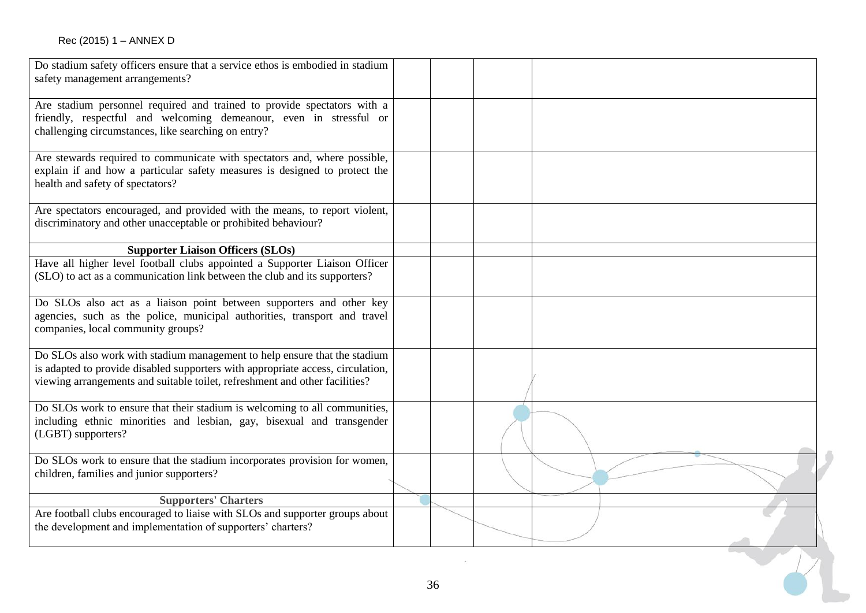| Do stadium safety officers ensure that a service ethos is embodied in stadium<br>safety management arrangements?                                                                                                                            |  |  |
|---------------------------------------------------------------------------------------------------------------------------------------------------------------------------------------------------------------------------------------------|--|--|
| Are stadium personnel required and trained to provide spectators with a<br>friendly, respectful and welcoming demeanour, even in stressful or<br>challenging circumstances, like searching on entry?                                        |  |  |
| Are stewards required to communicate with spectators and, where possible,<br>explain if and how a particular safety measures is designed to protect the<br>health and safety of spectators?                                                 |  |  |
| Are spectators encouraged, and provided with the means, to report violent,<br>discriminatory and other unacceptable or prohibited behaviour?                                                                                                |  |  |
| <b>Supporter Liaison Officers (SLOs)</b>                                                                                                                                                                                                    |  |  |
| Have all higher level football clubs appointed a Supporter Liaison Officer<br>(SLO) to act as a communication link between the club and its supporters?                                                                                     |  |  |
| Do SLOs also act as a liaison point between supporters and other key<br>agencies, such as the police, municipal authorities, transport and travel<br>companies, local community groups?                                                     |  |  |
| Do SLOs also work with stadium management to help ensure that the stadium<br>is adapted to provide disabled supporters with appropriate access, circulation,<br>viewing arrangements and suitable toilet, refreshment and other facilities? |  |  |
| Do SLOs work to ensure that their stadium is welcoming to all communities,<br>including ethnic minorities and lesbian, gay, bisexual and transgender<br>(LGBT) supporters?                                                                  |  |  |
| Do SLOs work to ensure that the stadium incorporates provision for women,<br>children, families and junior supporters?                                                                                                                      |  |  |
| <b>Supporters' Charters</b>                                                                                                                                                                                                                 |  |  |
| Are football clubs encouraged to liaise with SLOs and supporter groups about<br>the development and implementation of supporters' charters?                                                                                                 |  |  |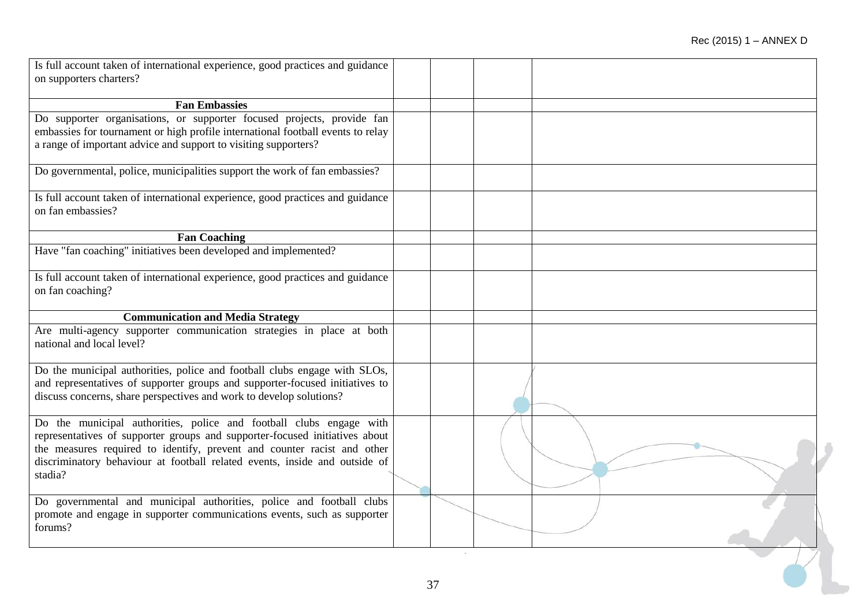| Is full account taken of international experience, good practices and guidance<br>on supporters charters?                                                                                                                                                                                                              |    |  |  |
|------------------------------------------------------------------------------------------------------------------------------------------------------------------------------------------------------------------------------------------------------------------------------------------------------------------------|----|--|--|
|                                                                                                                                                                                                                                                                                                                        |    |  |  |
| <b>Fan Embassies</b>                                                                                                                                                                                                                                                                                                   |    |  |  |
| Do supporter organisations, or supporter focused projects, provide fan<br>embassies for tournament or high profile international football events to relay<br>a range of important advice and support to visiting supporters?                                                                                           |    |  |  |
| Do governmental, police, municipalities support the work of fan embassies?                                                                                                                                                                                                                                             |    |  |  |
| Is full account taken of international experience, good practices and guidance<br>on fan embassies?                                                                                                                                                                                                                    |    |  |  |
| <b>Fan Coaching</b>                                                                                                                                                                                                                                                                                                    |    |  |  |
| Have "fan coaching" initiatives been developed and implemented?                                                                                                                                                                                                                                                        |    |  |  |
| Is full account taken of international experience, good practices and guidance<br>on fan coaching?                                                                                                                                                                                                                     |    |  |  |
| <b>Communication and Media Strategy</b>                                                                                                                                                                                                                                                                                |    |  |  |
| Are multi-agency supporter communication strategies in place at both<br>national and local level?                                                                                                                                                                                                                      |    |  |  |
| Do the municipal authorities, police and football clubs engage with SLOs,<br>and representatives of supporter groups and supporter-focused initiatives to<br>discuss concerns, share perspectives and work to develop solutions?                                                                                       |    |  |  |
| Do the municipal authorities, police and football clubs engage with<br>representatives of supporter groups and supporter-focused initiatives about<br>the measures required to identify, prevent and counter racist and other<br>discriminatory behaviour at football related events, inside and outside of<br>stadia? |    |  |  |
| Do governmental and municipal authorities, police and football clubs<br>promote and engage in supporter communications events, such as supporter<br>forums?                                                                                                                                                            |    |  |  |
|                                                                                                                                                                                                                                                                                                                        | 37 |  |  |
|                                                                                                                                                                                                                                                                                                                        |    |  |  |